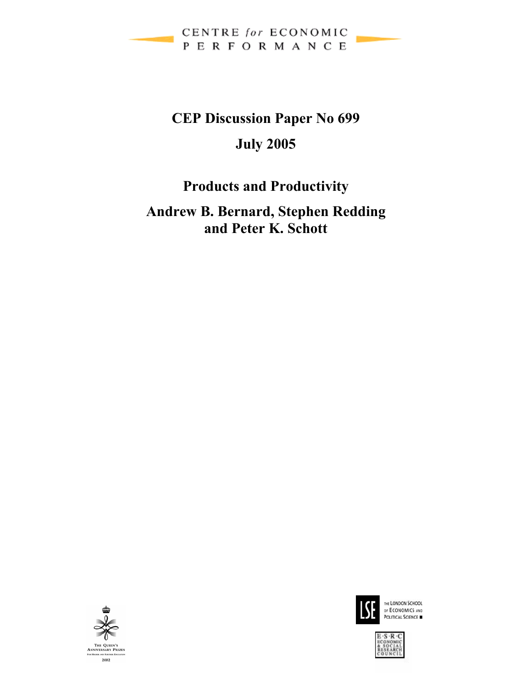

# **CEP Discussion Paper No 699 July 2005**

# **Products and Productivity**

## **Andrew B. Bernard, Stephen Redding and Peter K. Schott**





THE LONDON SCHOOL OF ECONOMICS AND

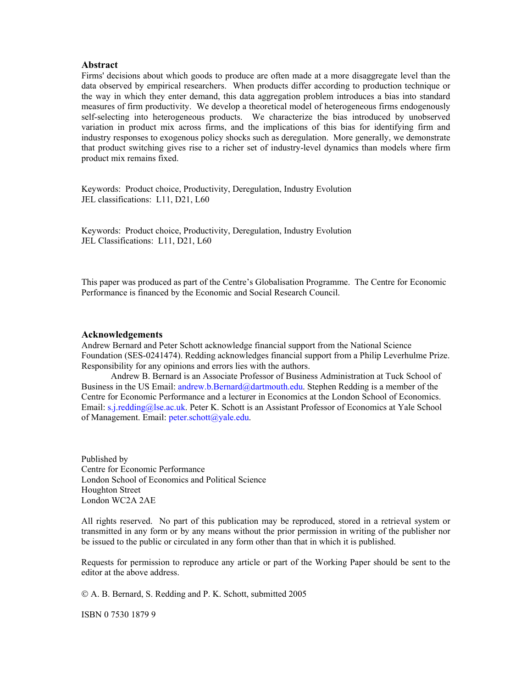#### **Abstract**

Firms' decisions about which goods to produce are often made at a more disaggregate level than the data observed by empirical researchers. When products differ according to production technique or the way in which they enter demand, this data aggregation problem introduces a bias into standard measures of firm productivity. We develop a theoretical model of heterogeneous firms endogenously self-selecting into heterogeneous products. We characterize the bias introduced by unobserved variation in product mix across firms, and the implications of this bias for identifying firm and industry responses to exogenous policy shocks such as deregulation. More generally, we demonstrate that product switching gives rise to a richer set of industry-level dynamics than models where firm product mix remains fixed.

Keywords: Product choice, Productivity, Deregulation, Industry Evolution JEL classifications: L11, D21, L60

Keywords: Product choice, Productivity, Deregulation, Industry Evolution JEL Classifications: L11, D21, L60

This paper was produced as part of the Centre's Globalisation Programme. The Centre for Economic Performance is financed by the Economic and Social Research Council.

#### **Acknowledgements**

Andrew Bernard and Peter Schott acknowledge financial support from the National Science Foundation (SES-0241474). Redding acknowledges financial support from a Philip Leverhulme Prize. Responsibility for any opinions and errors lies with the authors.

Andrew B. Bernard is an Associate Professor of Business Administration at Tuck School of Business in the US Email: andrew.b.Bernard@dartmouth.edu. Stephen Redding is a member of the Centre for Economic Performance and a lecturer in Economics at the London School of Economics. Email: s.j.redding@lse.ac.uk. Peter K. Schott is an Assistant Professor of Economics at Yale School of Management. Email: peter.schott@yale.edu.

Published by Centre for Economic Performance London School of Economics and Political Science Houghton Street London WC2A 2AE

All rights reserved. No part of this publication may be reproduced, stored in a retrieval system or transmitted in any form or by any means without the prior permission in writing of the publisher nor be issued to the public or circulated in any form other than that in which it is published.

Requests for permission to reproduce any article or part of the Working Paper should be sent to the editor at the above address.

© A. B. Bernard, S. Redding and P. K. Schott, submitted 2005

ISBN 0 7530 1879 9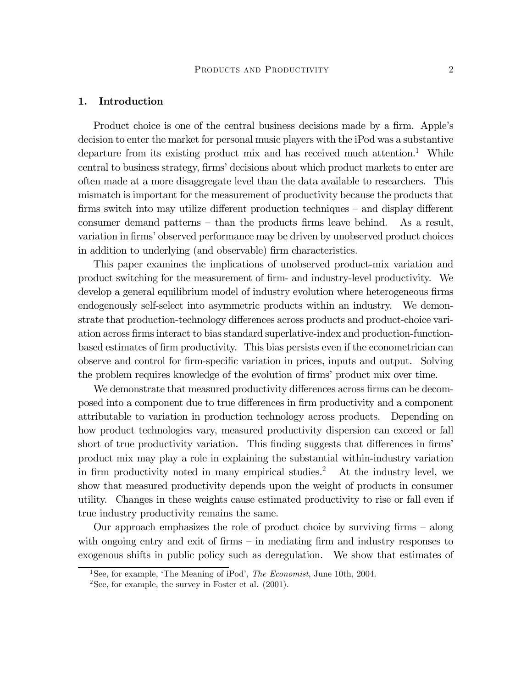#### 1. Introduction

Product choice is one of the central business decisions made by a firm. Apple's decision to enter the market for personal music players with the iPod was a substantive departure from its existing product mix and has received much attention.<sup>1</sup> While central to business strategy, firms' decisions about which product markets to enter are often made at a more disaggregate level than the data available to researchers. This mismatch is important for the measurement of productivity because the products that firms switch into may utilize different production techniques — and display different consumer demand patterns — than the products firms leave behind. As a result, variation in firms' observed performance may be driven by unobserved product choices in addition to underlying (and observable) firm characteristics.

This paper examines the implications of unobserved product-mix variation and product switching for the measurement of firm- and industry-level productivity. We develop a general equilibrium model of industry evolution where heterogeneous firms endogenously self-select into asymmetric products within an industry. We demonstrate that production-technology differences across products and product-choice variation across firms interact to bias standard superlative-index and production-functionbased estimates of firm productivity. This bias persists even if the econometrician can observe and control for firm-specific variation in prices, inputs and output. Solving the problem requires knowledge of the evolution of firms' product mix over time.

We demonstrate that measured productivity differences across firms can be decomposed into a component due to true differences in firm productivity and a component attributable to variation in production technology across products. Depending on how product technologies vary, measured productivity dispersion can exceed or fall short of true productivity variation. This finding suggests that differences in firms' product mix may play a role in explaining the substantial within-industry variation in firm productivity noted in many empirical studies.<sup>2</sup> At the industry level, we show that measured productivity depends upon the weight of products in consumer utility. Changes in these weights cause estimated productivity to rise or fall even if true industry productivity remains the same.

Our approach emphasizes the role of product choice by surviving firms — along with ongoing entry and exit of firms – in mediating firm and industry responses to exogenous shifts in public policy such as deregulation. We show that estimates of

<sup>&</sup>lt;sup>1</sup>See, for example, 'The Meaning of iPod', *The Economist*, June 10th, 2004.

 $2$ See, for example, the survey in Foster et al.  $(2001)$ .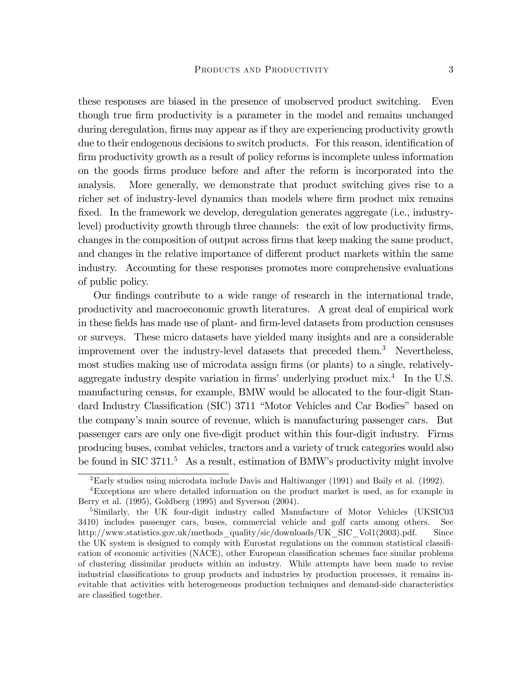these responses are biased in the presence of unobserved product switching. Even though true firm productivity is a parameter in the model and remains unchanged during deregulation, firms may appear as if they are experiencing productivity growth due to their endogenous decisions to switch products. For this reason, identification of firm productivity growth as a result of policy reforms is incomplete unless information on the goods firms produce before and after the reform is incorporated into the analysis. More generally, we demonstrate that product switching gives rise to a richer set of industry-level dynamics than models where firm product mix remains fixed. In the framework we develop, deregulation generates aggregate (i.e., industrylevel) productivity growth through three channels: the exit of low productivity firms, changes in the composition of output across firms that keep making the same product, and changes in the relative importance of different product markets within the same industry. Accounting for these responses promotes more comprehensive evaluations of public policy.

Our findings contribute to a wide range of research in the international trade, productivity and macroeconomic growth literatures. A great deal of empirical work in these fields has made use of plant- and firm-level datasets from production censuses or surveys. These micro datasets have yielded many insights and are a considerable improvement over the industry-level datasets that preceded them.<sup>3</sup> Nevertheless, most studies making use of microdata assign firms (or plants) to a single, relativelyaggregate industry despite variation in firms' underlying product  $mix<sup>4</sup>$ . In the U.S. manufacturing census, for example, BMW would be allocated to the four-digit Standard Industry Classification (SIC) 3711 "Motor Vehicles and Car Bodies" based on the company's main source of revenue, which is manufacturing passenger cars. But passenger cars are only one five-digit product within this four-digit industry. Firms producing buses, combat vehicles, tractors and a variety of truck categories would also be found in SIC  $3711<sup>5</sup>$  As a result, estimation of BMW's productivity might involve

<sup>3</sup>Early studies using microdata include Davis and Haltiwanger (1991) and Baily et al. (1992).

<sup>4</sup>Exceptions are where detailed information on the product market is used, as for example in Berry et al. (1995), Goldberg (1995) and Syverson (2004).

<sup>&</sup>lt;sup>5</sup>Similarly, the UK four-digit industry called Manufacture of Motor Vehicles (UKSIC03 3410) includes passenger cars, buses, commercial vehicle and golf carts among others. See http://www.statistics.gov.uk/methods\_quality/sic/downloads/UK\_SIC\_Vol1(2003).pdf. Since the UK system is designed to comply with Eurostat regulations on the common statistical classification of economic activities (NACE), other European classification schemes face similar problems of clustering dissimilar products within an industry. While attempts have been made to revise industrial classifications to group products and industries by production processes, it remains inevitable that activities with heterogeneous production techniques and demand-side characteristics are classified together.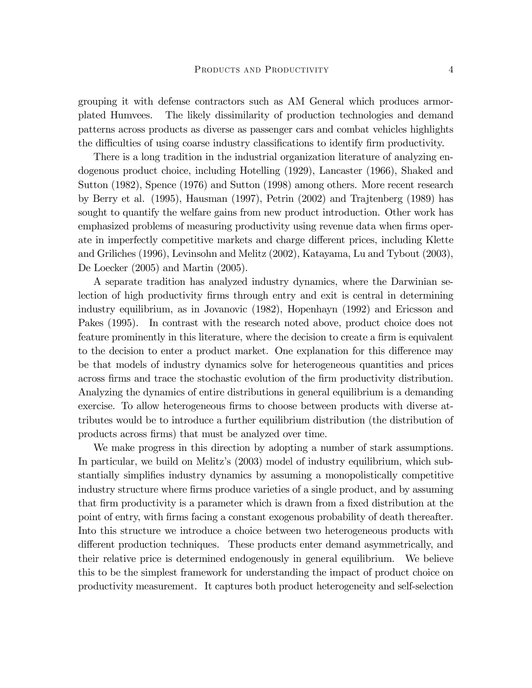grouping it with defense contractors such as AM General which produces armorplated Humvees. The likely dissimilarity of production technologies and demand patterns across products as diverse as passenger cars and combat vehicles highlights the difficulties of using coarse industry classifications to identify firm productivity.

There is a long tradition in the industrial organization literature of analyzing endogenous product choice, including Hotelling (1929), Lancaster (1966), Shaked and Sutton (1982), Spence (1976) and Sutton (1998) among others. More recent research by Berry et al. (1995), Hausman (1997), Petrin (2002) and Trajtenberg (1989) has sought to quantify the welfare gains from new product introduction. Other work has emphasized problems of measuring productivity using revenue data when firms operate in imperfectly competitive markets and charge different prices, including Klette and Griliches (1996), Levinsohn and Melitz (2002), Katayama, Lu and Tybout (2003), De Loecker (2005) and Martin (2005).

A separate tradition has analyzed industry dynamics, where the Darwinian selection of high productivity firms through entry and exit is central in determining industry equilibrium, as in Jovanovic (1982), Hopenhayn (1992) and Ericsson and Pakes (1995). In contrast with the research noted above, product choice does not feature prominently in this literature, where the decision to create a firm is equivalent to the decision to enter a product market. One explanation for this difference may be that models of industry dynamics solve for heterogeneous quantities and prices across firms and trace the stochastic evolution of the firm productivity distribution. Analyzing the dynamics of entire distributions in general equilibrium is a demanding exercise. To allow heterogeneous firms to choose between products with diverse attributes would be to introduce a further equilibrium distribution (the distribution of products across firms) that must be analyzed over time.

We make progress in this direction by adopting a number of stark assumptions. In particular, we build on Melitz's (2003) model of industry equilibrium, which substantially simplifies industry dynamics by assuming a monopolistically competitive industry structure where firms produce varieties of a single product, and by assuming that firm productivity is a parameter which is drawn from a fixed distribution at the point of entry, with firms facing a constant exogenous probability of death thereafter. Into this structure we introduce a choice between two heterogeneous products with different production techniques. These products enter demand asymmetrically, and their relative price is determined endogenously in general equilibrium. We believe this to be the simplest framework for understanding the impact of product choice on productivity measurement. It captures both product heterogeneity and self-selection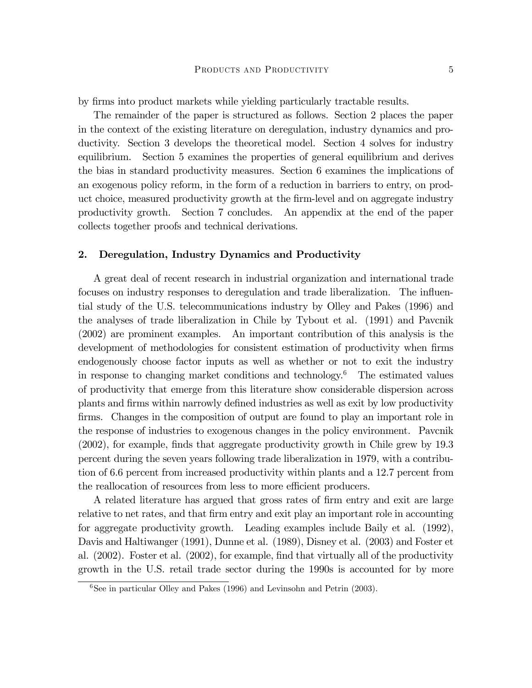by firms into product markets while yielding particularly tractable results.

The remainder of the paper is structured as follows. Section 2 places the paper in the context of the existing literature on deregulation, industry dynamics and productivity. Section 3 develops the theoretical model. Section 4 solves for industry equilibrium. Section 5 examines the properties of general equilibrium and derives the bias in standard productivity measures. Section 6 examines the implications of an exogenous policy reform, in the form of a reduction in barriers to entry, on product choice, measured productivity growth at the firm-level and on aggregate industry productivity growth. Section 7 concludes. An appendix at the end of the paper collects together proofs and technical derivations.

#### 2. Deregulation, Industry Dynamics and Productivity

A great deal of recent research in industrial organization and international trade focuses on industry responses to deregulation and trade liberalization. The influential study of the U.S. telecommunications industry by Olley and Pakes (1996) and the analyses of trade liberalization in Chile by Tybout et al. (1991) and Pavcnik (2002) are prominent examples. An important contribution of this analysis is the development of methodologies for consistent estimation of productivity when firms endogenously choose factor inputs as well as whether or not to exit the industry in response to changing market conditions and technology.<sup>6</sup> The estimated values of productivity that emerge from this literature show considerable dispersion across plants and firms within narrowly defined industries as well as exit by low productivity firms. Changes in the composition of output are found to play an important role in the response of industries to exogenous changes in the policy environment. Pavcnik (2002), for example, finds that aggregate productivity growth in Chile grew by 19.3 percent during the seven years following trade liberalization in 1979, with a contribution of 6.6 percent from increased productivity within plants and a 12.7 percent from the reallocation of resources from less to more efficient producers.

A related literature has argued that gross rates of firm entry and exit are large relative to net rates, and that firm entry and exit play an important role in accounting for aggregate productivity growth. Leading examples include Baily et al. (1992), Davis and Haltiwanger (1991), Dunne et al. (1989), Disney et al. (2003) and Foster et al. (2002). Foster et al. (2002), for example, find that virtually all of the productivity growth in the U.S. retail trade sector during the 1990s is accounted for by more

 ${}^{6}$ See in particular Olley and Pakes (1996) and Levinsohn and Petrin (2003).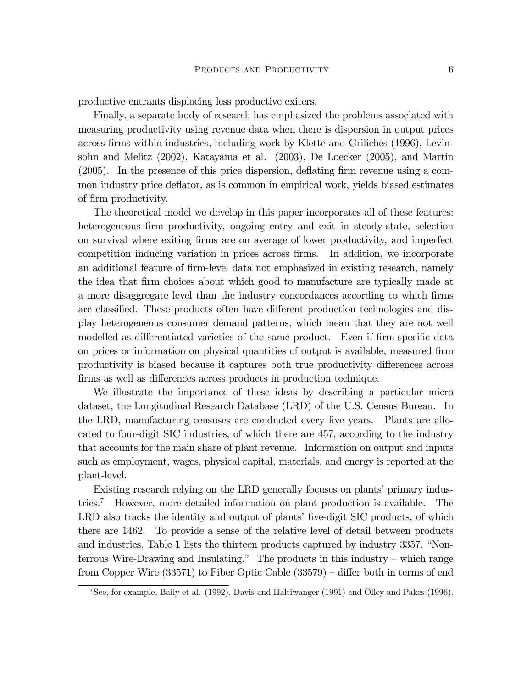productive entrants displacing less productive exiters.

Finally, a separate body of research has emphasized the problems associated with measuring productivity using revenue data when there is dispersion in output prices across firms within industries, including work by Klette and Griliches (1996), Levinsohn and Melitz (2002), Katayama et al. (2003), De Loecker (2005), and Martin (2005). In the presence of this price dispersion, deflating firm revenue using a common industry price deflator, as is common in empirical work, yields biased estimates of firm productivity.

The theoretical model we develop in this paper incorporates all of these features: heterogeneous firm productivity, ongoing entry and exit in steady-state, selection on survival where exiting firms are on average of lower productivity, and imperfect competition inducing variation in prices across firms. In addition, we incorporate an additional feature of firm-level data not emphasized in existing research, namely the idea that firm choices about which good to manufacture are typically made at a more disaggregate level than the industry concordances according to which firms are classified. These products often have different production technologies and display heterogeneous consumer demand patterns, which mean that they are not well modelled as differentiated varieties of the same product. Even if firm-specific data on prices or information on physical quantities of output is available, measured firm productivity is biased because it captures both true productivity differences across firms as well as differences across products in production technique.

We illustrate the importance of these ideas by describing a particular micro dataset, the Longitudinal Research Database (LRD) of the U.S. Census Bureau. In the LRD, manufacturing censuses are conducted every five years. Plants are allocated to four-digit SIC industries, of which there are 457, according to the industry that accounts for the main share of plant revenue. Information on output and inputs such as employment, wages, physical capital, materials, and energy is reported at the plant-level.

Existing research relying on the LRD generally focuses on plants' primary industries.7 However, more detailed information on plant production is available. The LRD also tracks the identity and output of plants' five-digit SIC products, of which there are 1462. To provide a sense of the relative level of detail between products and industries, Table 1 lists the thirteen products captured by industry 3357, "Nonferrous Wire-Drawing and Insulating." The products in this industry — which range from Copper Wire (33571) to Fiber Optic Cable (33579) — differ both in terms of end

<sup>7</sup>See, for example, Baily et al. (1992), Davis and Haltiwanger (1991) and Olley and Pakes (1996).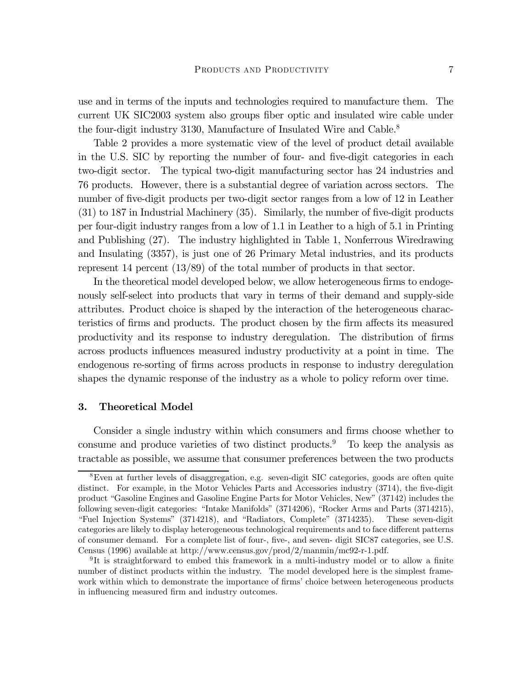use and in terms of the inputs and technologies required to manufacture them. The current UK SIC2003 system also groups fiber optic and insulated wire cable under the four-digit industry 3130, Manufacture of Insulated Wire and Cable.<sup>8</sup>

Table 2 provides a more systematic view of the level of product detail available in the U.S. SIC by reporting the number of four- and five-digit categories in each two-digit sector. The typical two-digit manufacturing sector has 24 industries and 76 products. However, there is a substantial degree of variation across sectors. The number of five-digit products per two-digit sector ranges from a low of 12 in Leather (31) to 187 in Industrial Machinery (35). Similarly, the number of five-digit products per four-digit industry ranges from a low of 1.1 in Leather to a high of 5.1 in Printing and Publishing (27). The industry highlighted in Table 1, Nonferrous Wiredrawing and Insulating (3357), is just one of 26 Primary Metal industries, and its products represent 14 percent (13/89) of the total number of products in that sector.

In the theoretical model developed below, we allow heterogeneous firms to endogenously self-select into products that vary in terms of their demand and supply-side attributes. Product choice is shaped by the interaction of the heterogeneous characteristics of firms and products. The product chosen by the firm affects its measured productivity and its response to industry deregulation. The distribution of firms across products influences measured industry productivity at a point in time. The endogenous re-sorting of firms across products in response to industry deregulation shapes the dynamic response of the industry as a whole to policy reform over time.

#### 3. Theoretical Model

Consider a single industry within which consumers and firms choose whether to consume and produce varieties of two distinct products. $9$  To keep the analysis as tractable as possible, we assume that consumer preferences between the two products

<sup>8</sup>Even at further levels of disaggregation, e.g. seven-digit SIC categories, goods are often quite distinct. For example, in the Motor Vehicles Parts and Accessories industry (3714), the five-digit product "Gasoline Engines and Gasoline Engine Parts for Motor Vehicles, New" (37142) includes the following seven-digit categories: "Intake Manifolds" (3714206), "Rocker Arms and Parts (3714215), "Fuel Injection Systems" (3714218), and "Radiators, Complete" (3714235). These seven-digit categories are likely to display heterogeneous technological requirements and to face different patterns of consumer demand. For a complete list of four-, five-, and seven- digit SIC87 categories, see U.S. Census (1996) available at http://www.census.gov/prod/2/manmin/mc92-r-1.pdf.

<sup>9</sup> It is straightforward to embed this framework in a multi-industry model or to allow a finite number of distinct products within the industry. The model developed here is the simplest framework within which to demonstrate the importance of firms' choice between heterogeneous products in influencing measured firm and industry outcomes.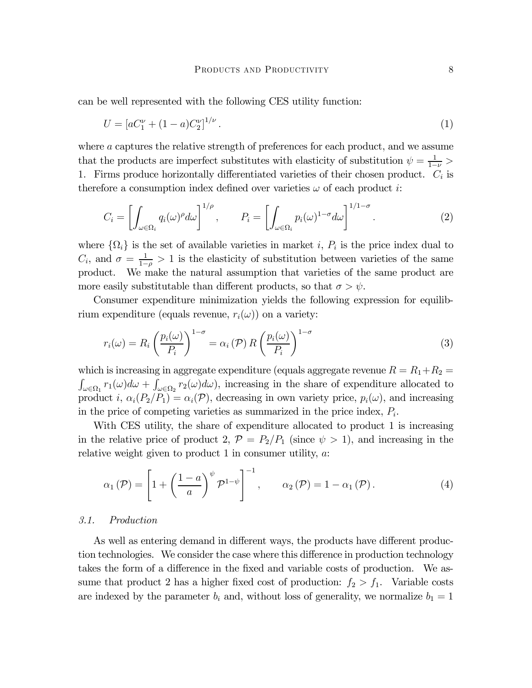can be well represented with the following CES utility function:

$$
U = [aC_1^{\nu} + (1 - a)C_2^{\nu}]^{1/\nu}.
$$
\n(1)

where a captures the relative strength of preferences for each product, and we assume that the products are imperfect substitutes with elasticity of substitution  $\psi = \frac{1}{1-\nu} >$ 1. Firms produce horizontally differentiated varieties of their chosen product.  $C_i$  is therefore a consumption index defined over varieties  $\omega$  of each product i:

$$
C_i = \left[ \int_{\omega \in \Omega_i} q_i(\omega)^{\rho} d\omega \right]^{1/\rho}, \qquad P_i = \left[ \int_{\omega \in \Omega_i} p_i(\omega)^{1-\sigma} d\omega \right]^{1/1-\sigma}.
$$
 (2)

where  $\{\Omega_i\}$  is the set of available varieties in market i,  $P_i$  is the price index dual to  $C_i$ , and  $\sigma = \frac{1}{1-\rho} > 1$  is the elasticity of substitution between varieties of the same product. We make the natural assumption that varieties of the same product are more easily substitutable than different products, so that  $\sigma > \psi$ .

Consumer expenditure minimization yields the following expression for equilibrium expenditure (equals revenue,  $r_i(\omega)$ ) on a variety:

$$
r_i(\omega) = R_i \left(\frac{p_i(\omega)}{P_i}\right)^{1-\sigma} = \alpha_i(\mathcal{P}) R \left(\frac{p_i(\omega)}{P_i}\right)^{1-\sigma}
$$
\n(3)

which is increasing in aggregate expenditure (equals aggregate revenue  $R = R_1 + R_2 =$  $\int_{\omega \in \Omega_1} r_1(\omega) d\omega + \int_{\omega \in \Omega_2} r_2(\omega) d\omega$ , increasing in the share of expenditure allocated to product i,  $\alpha_i(P_2/P_1) = \alpha_i(\mathcal{P})$ , decreasing in own variety price,  $p_i(\omega)$ , and increasing in the price of competing varieties as summarized in the price index,  $P_i$ .

With CES utility, the share of expenditure allocated to product 1 is increasing in the relative price of product 2,  $\mathcal{P} = P_2/P_1$  (since  $\psi > 1$ ), and increasing in the relative weight given to product 1 in consumer utility,  $a$ .

$$
\alpha_1(\mathcal{P}) = \left[1 + \left(\frac{1-a}{a}\right)^{\psi} \mathcal{P}^{1-\psi}\right]^{-1}, \qquad \alpha_2(\mathcal{P}) = 1 - \alpha_1(\mathcal{P}). \tag{4}
$$

#### 3.1. Production

As well as entering demand in different ways, the products have different production technologies. We consider the case where this difference in production technology takes the form of a difference in the fixed and variable costs of production. We assume that product 2 has a higher fixed cost of production:  $f_2 > f_1$ . Variable costs are indexed by the parameter  $b_i$  and, without loss of generality, we normalize  $b_1 = 1$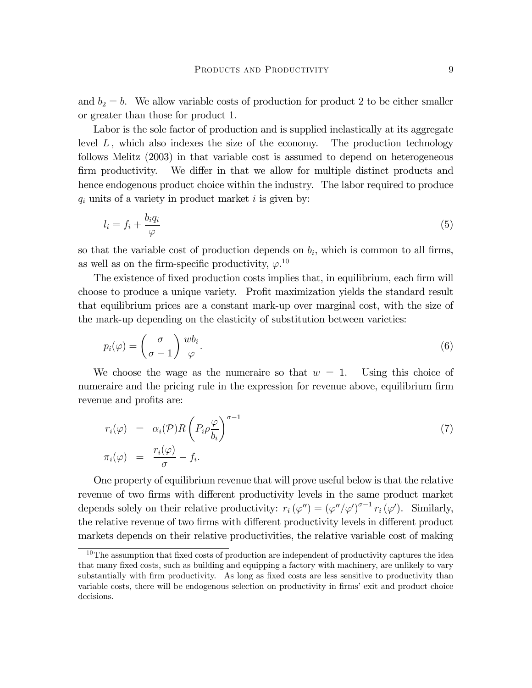and  $b_2 = b$ . We allow variable costs of production for product 2 to be either smaller or greater than those for product 1.

Labor is the sole factor of production and is supplied inelastically at its aggregate level  $L$ , which also indexes the size of the economy. The production technology follows Melitz (2003) in that variable cost is assumed to depend on heterogeneous firm productivity. We differ in that we allow for multiple distinct products and hence endogenous product choice within the industry. The labor required to produce  $q_i$  units of a variety in product market i is given by:

$$
l_i = f_i + \frac{b_i q_i}{\varphi} \tag{5}
$$

so that the variable cost of production depends on  $b_i$ , which is common to all firms, as well as on the firm-specific productivity,  $\varphi$ <sup>10</sup>

The existence of fixed production costs implies that, in equilibrium, each firm will choose to produce a unique variety. Profit maximization yields the standard result that equilibrium prices are a constant mark-up over marginal cost, with the size of the mark-up depending on the elasticity of substitution between varieties:

$$
p_i(\varphi) = \left(\frac{\sigma}{\sigma - 1}\right) \frac{wb_i}{\varphi}.\tag{6}
$$

We choose the wage as the numeraire so that  $w = 1$ . Using this choice of numeraire and the pricing rule in the expression for revenue above, equilibrium firm revenue and profits are:

$$
r_i(\varphi) = \alpha_i(\mathcal{P})R\left(P_i\rho \frac{\varphi}{b_i}\right)^{\sigma - 1}
$$
  

$$
\pi_i(\varphi) = \frac{r_i(\varphi)}{\sigma} - f_i.
$$
 (7)

One property of equilibrium revenue that will prove useful below is that the relative revenue of two firms with different productivity levels in the same product market depends solely on their relative productivity:  $r_i (\varphi'') = (\varphi''/\varphi')^{\sigma-1} r_i (\varphi')$ . Similarly, the relative revenue of two firms with different productivity levels in different product markets depends on their relative productivities, the relative variable cost of making

 $10$ The assumption that fixed costs of production are independent of productivity captures the idea that many fixed costs, such as building and equipping a factory with machinery, are unlikely to vary substantially with firm productivity. As long as fixed costs are less sensitive to productivity than variable costs, there will be endogenous selection on productivity in firms' exit and product choice decisions.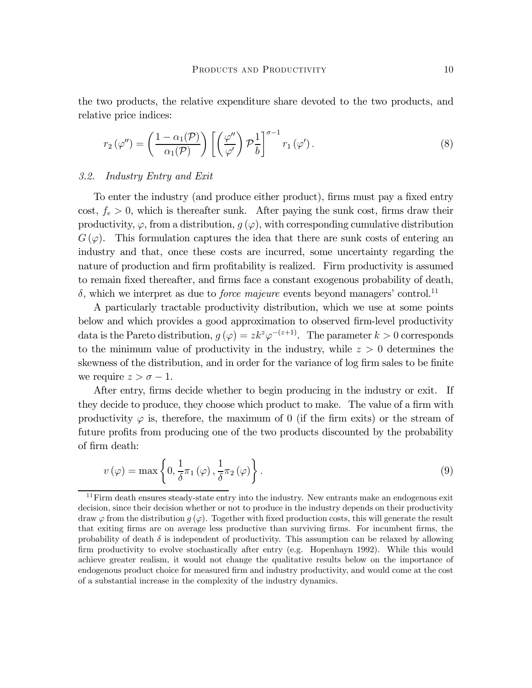the two products, the relative expenditure share devoted to the two products, and relative price indices:

$$
r_2(\varphi'') = \left(\frac{1 - \alpha_1(\mathcal{P})}{\alpha_1(\mathcal{P})}\right) \left[ \left(\frac{\varphi''}{\varphi'}\right) \mathcal{P}_b^{\frac{1}{2}} \right]^{\sigma - 1} r_1(\varphi'). \tag{8}
$$

#### 3.2. Industry Entry and Exit

To enter the industry (and produce either product), firms must pay a fixed entry cost,  $f_e > 0$ , which is thereafter sunk. After paying the sunk cost, firms draw their productivity,  $\varphi$ , from a distribution,  $g(\varphi)$ , with corresponding cumulative distribution  $G(\varphi)$ . This formulation captures the idea that there are sunk costs of entering an industry and that, once these costs are incurred, some uncertainty regarding the nature of production and firm profitability is realized. Firm productivity is assumed to remain fixed thereafter, and firms face a constant exogenous probability of death,  $\delta$ , which we interpret as due to *force majeure* events beyond managers' control.<sup>11</sup>

A particularly tractable productivity distribution, which we use at some points below and which provides a good approximation to observed firm-level productivity data is the Pareto distribution,  $g(\varphi) = z k^z \varphi^{-(z+1)}$ . The parameter  $k > 0$  corresponds to the minimum value of productivity in the industry, while  $z > 0$  determines the skewness of the distribution, and in order for the variance of log firm sales to be finite we require  $z>\sigma-1$ .

After entry, firms decide whether to begin producing in the industry or exit. If they decide to produce, they choose which product to make. The value of a firm with productivity  $\varphi$  is, therefore, the maximum of 0 (if the firm exits) or the stream of future profits from producing one of the two products discounted by the probability of firm death:

$$
v(\varphi) = \max\left\{0, \frac{1}{\delta}\pi_1(\varphi), \frac{1}{\delta}\pi_2(\varphi)\right\}.
$$
\n(9)

 $11$  Firm death ensures steady-state entry into the industry. New entrants make an endogenous exit decision, since their decision whether or not to produce in the industry depends on their productivity draw  $\varphi$  from the distribution  $q(\varphi)$ . Together with fixed production costs, this will generate the result that exiting firms are on average less productive than surviving firms. For incumbent firms, the probability of death  $\delta$  is independent of productivity. This assumption can be relaxed by allowing firm productivity to evolve stochastically after entry (e.g. Hopenhayn 1992). While this would achieve greater realism, it would not change the qualitative results below on the importance of endogenous product choice for measured firm and industry productivity, and would come at the cost of a substantial increase in the complexity of the industry dynamics.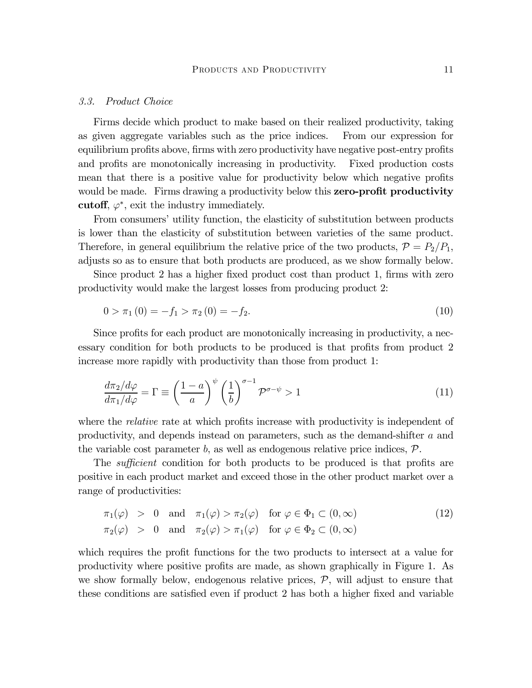#### 3.3. Product Choice

Firms decide which product to make based on their realized productivity, taking as given aggregate variables such as the price indices. From our expression for equilibrium profits above, firms with zero productivity have negative post-entry profits and profits are monotonically increasing in productivity. Fixed production costs mean that there is a positive value for productivity below which negative profits would be made. Firms drawing a productivity below this **zero-profit productivity** cutoff,  $\varphi^*$ , exit the industry immediately.

From consumers' utility function, the elasticity of substitution between products is lower than the elasticity of substitution between varieties of the same product. Therefore, in general equilibrium the relative price of the two products,  $\mathcal{P} = P_2/P_1$ , adjusts so as to ensure that both products are produced, as we show formally below.

Since product 2 has a higher fixed product cost than product 1, firms with zero productivity would make the largest losses from producing product 2:

$$
0 > \pi_1(0) = -f_1 > \pi_2(0) = -f_2. \tag{10}
$$

Since profits for each product are monotonically increasing in productivity, a necessary condition for both products to be produced is that profits from product 2 increase more rapidly with productivity than those from product 1:

$$
\frac{d\pi_2/d\varphi}{d\pi_1/d\varphi} = \Gamma \equiv \left(\frac{1-a}{a}\right)^{\psi} \left(\frac{1}{b}\right)^{\sigma-1} \mathcal{P}^{\sigma-\psi} > 1\tag{11}
$$

where the *relative* rate at which profits increase with productivity is independent of productivity, and depends instead on parameters, such as the demand-shifter a and the variable cost parameter  $b$ , as well as endogenous relative price indices,  $P$ .

The *sufficient* condition for both products to be produced is that profits are positive in each product market and exceed those in the other product market over a range of productivities:

$$
\pi_1(\varphi) > 0 \text{ and } \pi_1(\varphi) > \pi_2(\varphi) \text{ for } \varphi \in \Phi_1 \subset (0, \infty)
$$
  
\n
$$
\pi_2(\varphi) > 0 \text{ and } \pi_2(\varphi) > \pi_1(\varphi) \text{ for } \varphi \in \Phi_2 \subset (0, \infty)
$$
\n(12)

which requires the profit functions for the two products to intersect at a value for productivity where positive profits are made, as shown graphically in Figure 1. As we show formally below, endogenous relative prices,  $P$ , will adjust to ensure that these conditions are satisfied even if product 2 has both a higher fixed and variable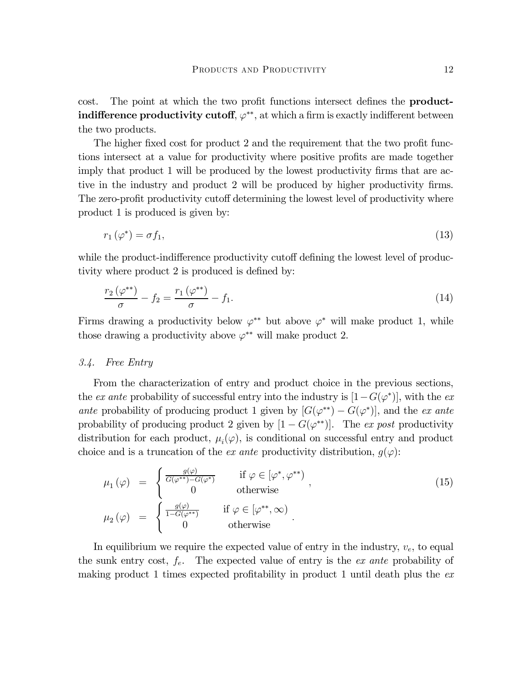cost. The point at which the two profit functions intersect defines the **productindifference productivity cutoff**,  $\varphi^{**}$ , at which a firm is exactly indifferent between the two products.

The higher fixed cost for product 2 and the requirement that the two profit functions intersect at a value for productivity where positive profits are made together imply that product 1 will be produced by the lowest productivity firms that are active in the industry and product 2 will be produced by higher productivity firms. The zero-profit productivity cutoff determining the lowest level of productivity where product 1 is produced is given by:

$$
r_1(\varphi^*) = \sigma f_1,\tag{13}
$$

while the product-indifference productivity cutoff defining the lowest level of productivity where product 2 is produced is defined by:

$$
\frac{r_2(\varphi^{**})}{\sigma} - f_2 = \frac{r_1(\varphi^{**})}{\sigma} - f_1.
$$
\n(14)

Firms drawing a productivity below  $\varphi^{**}$  but above  $\varphi^*$  will make product 1, while those drawing a productivity above  $\varphi^{**}$  will make product 2.

#### 3.4. Free Entry

From the characterization of entry and product choice in the previous sections, the ex ante probability of successful entry into the industry is  $[1-G(\varphi^*)]$ , with the exante probability of producing product 1 given by  $[G(\varphi^{**}) - G(\varphi^*)]$ , and the ex ante probability of producing product 2 given by  $[1 - G(\varphi^{**})]$ . The ex post productivity distribution for each product,  $\mu_i(\varphi)$ , is conditional on successful entry and product choice and is a truncation of the *ex ante* productivity distribution,  $g(\varphi)$ :

$$
\mu_1(\varphi) = \begin{cases}\n\frac{g(\varphi)}{G(\varphi^{**}) - G(\varphi^*)} & \text{if } \varphi \in [\varphi^*, \varphi^{**}) \\
0 & \text{otherwise}\n\end{cases},
$$
\n
$$
\mu_2(\varphi) = \begin{cases}\n\frac{g(\varphi)}{1 - G(\varphi^{**})} & \text{if } \varphi \in [\varphi^{**}, \infty) \\
0 & \text{otherwise}\n\end{cases}.
$$
\n(15)

In equilibrium we require the expected value of entry in the industry,  $v_e$ , to equal the sunk entry cost,  $f_e$ . The expected value of entry is the *ex ante* probability of making product 1 times expected profitability in product 1 until death plus the  $ex$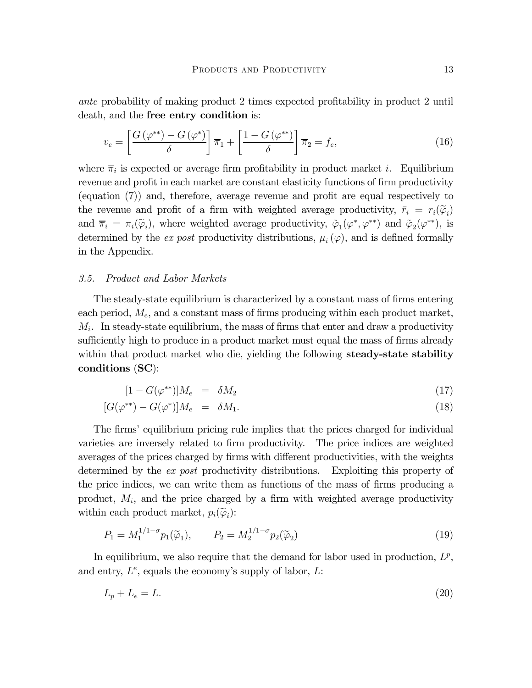ante probability of making product 2 times expected profitability in product 2 until death, and the free entry condition is:

$$
v_e = \left[\frac{G\left(\varphi^{**}\right) - G\left(\varphi^*\right)}{\delta}\right] \overline{\pi}_1 + \left[\frac{1 - G\left(\varphi^{**}\right)}{\delta}\right] \overline{\pi}_2 = f_e,\tag{16}
$$

where  $\overline{\pi}_i$  is expected or average firm profitability in product market *i*. Equilibrium revenue and profit in each market are constant elasticity functions of firm productivity (equation (7)) and, therefore, average revenue and profit are equal respectively to the revenue and profit of a firm with weighted average productivity,  $\bar{r}_i = r_i(\tilde{\varphi}_i)$ and  $\overline{\pi}_i = \pi_i(\widetilde{\varphi}_i)$ , where weighted average productivity,  $\widetilde{\varphi}_1(\varphi^*, \varphi^{**})$  and  $\widetilde{\varphi}_2(\varphi^{**})$ , is determined by the ex post productivity distributions,  $\mu_i(\varphi)$ , and is defined formally in the Appendix.

#### 3.5. Product and Labor Markets

The steady-state equilibrium is characterized by a constant mass of firms entering each period,  $M_e$ , and a constant mass of firms producing within each product market,  $M_i$ . In steady-state equilibrium, the mass of firms that enter and draw a productivity sufficiently high to produce in a product market must equal the mass of firms already within that product market who die, yielding the following **steady-state stability** conditions (SC):

$$
[1 - G(\varphi^{**})]M_e = \delta M_2 \tag{17}
$$

$$
[G(\varphi^{**}) - G(\varphi^*)]M_e = \delta M_1. \tag{18}
$$

The firms' equilibrium pricing rule implies that the prices charged for individual varieties are inversely related to firm productivity. The price indices are weighted averages of the prices charged by firms with different productivities, with the weights determined by the ex post productivity distributions. Exploiting this property of the price indices, we can write them as functions of the mass of firms producing a product,  $M_i$ , and the price charged by a firm with weighted average productivity within each product market,  $p_i(\widetilde{\varphi}_i)$ :

$$
P_1 = M_1^{1/1-\sigma} p_1(\tilde{\varphi}_1), \qquad P_2 = M_2^{1/1-\sigma} p_2(\tilde{\varphi}_2)
$$
\n(19)

In equilibrium, we also require that the demand for labor used in production,  $L^p$ , and entry,  $L^e$ , equals the economy's supply of labor,  $L$ :

$$
L_p + L_e = L.\t\t(20)
$$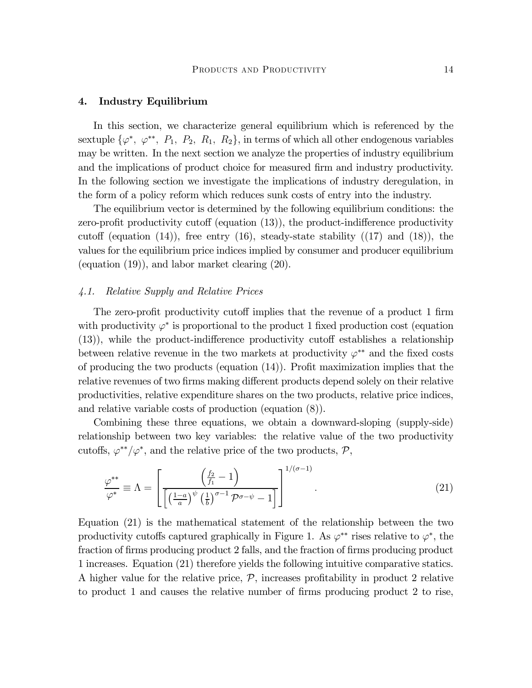#### 4. Industry Equilibrium

In this section, we characterize general equilibrium which is referenced by the sextuple  $\{\varphi^*, \varphi^{**}, P_1, P_2, R_1, R_2\}$ , in terms of which all other endogenous variables may be written. In the next section we analyze the properties of industry equilibrium and the implications of product choice for measured firm and industry productivity. In the following section we investigate the implications of industry deregulation, in the form of a policy reform which reduces sunk costs of entry into the industry.

The equilibrium vector is determined by the following equilibrium conditions: the zero-profit productivity cutoff (equation (13)), the product-indifference productivity cutoff (equation  $(14)$ ), free entry  $(16)$ , steady-state stability  $((17)$  and  $(18)$ ), the values for the equilibrium price indices implied by consumer and producer equilibrium (equation (19)), and labor market clearing (20).

### 4.1. Relative Supply and Relative Prices

The zero-profit productivity cutoff implies that the revenue of a product 1 firm with productivity  $\varphi^*$  is proportional to the product 1 fixed production cost (equation (13)), while the product-indifference productivity cutoff establishes a relationship between relative revenue in the two markets at productivity  $\varphi^{**}$  and the fixed costs of producing the two products (equation (14)). Profit maximization implies that the relative revenues of two firms making different products depend solely on their relative productivities, relative expenditure shares on the two products, relative price indices, and relative variable costs of production (equation (8)).

Combining these three equations, we obtain a downward-sloping (supply-side) relationship between two key variables: the relative value of the two productivity cutoffs,  $\varphi^{**}/\varphi^*$ , and the relative price of the two products,  $\mathcal{P}$ ,

$$
\frac{\varphi^{**}}{\varphi^*} \equiv \Lambda = \left[ \frac{\left(\frac{f_2}{f_1} - 1\right)}{\left[\left(\frac{1-a}{a}\right)^{\psi}\left(\frac{1}{b}\right)^{\sigma-1}\mathcal{P}^{\sigma-\psi} - 1\right]} \right]^{1/(\sigma-1)}.
$$
\n(21)

Equation (21) is the mathematical statement of the relationship between the two productivity cutoffs captured graphically in Figure 1. As  $\varphi^{**}$  rises relative to  $\varphi^*$ , the fraction of firms producing product 2 falls, and the fraction of firms producing product 1 increases. Equation (21) therefore yields the following intuitive comparative statics. A higher value for the relative price,  $P$ , increases profitability in product 2 relative to product 1 and causes the relative number of firms producing product 2 to rise,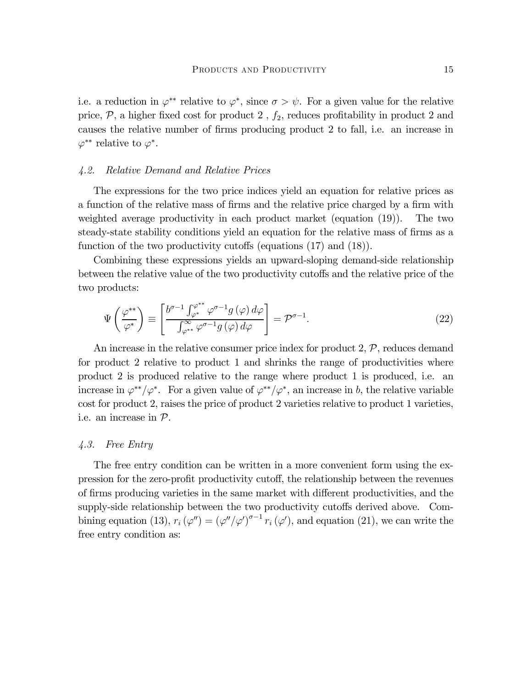i.e. a reduction in  $\varphi^{**}$  relative to  $\varphi^*$ , since  $\sigma > \psi$ . For a given value for the relative price,  $P$ , a higher fixed cost for product 2,  $f_2$ , reduces profitability in product 2 and causes the relative number of firms producing product 2 to fall, i.e. an increase in  $\varphi^{**}$  relative to  $\varphi^*$ .

#### 4.2. Relative Demand and Relative Prices

The expressions for the two price indices yield an equation for relative prices as a function of the relative mass of firms and the relative price charged by a firm with weighted average productivity in each product market (equation (19)). The two steady-state stability conditions yield an equation for the relative mass of firms as a function of the two productivity cutoffs (equations (17) and (18)).

Combining these expressions yields an upward-sloping demand-side relationship between the relative value of the two productivity cutoffs and the relative price of the two products:

$$
\Psi\left(\frac{\varphi^{**}}{\varphi^*}\right) \equiv \left[\frac{b^{\sigma-1} \int_{\varphi^*}^{\varphi^{**}} \varphi^{\sigma-1} g\left(\varphi\right) d\varphi}{\int_{\varphi^{**}}^{\infty} \varphi^{\sigma-1} g\left(\varphi\right) d\varphi}\right] = \mathcal{P}^{\sigma-1}.
$$
\n(22)

An increase in the relative consumer price index for product  $2, \mathcal{P}$ , reduces demand for product 2 relative to product 1 and shrinks the range of productivities where product 2 is produced relative to the range where product 1 is produced, i.e. an increase in  $\varphi^{**}/\varphi^*$ . For a given value of  $\varphi^{**}/\varphi^*$ , an increase in b, the relative variable cost for product 2, raises the price of product 2 varieties relative to product 1 varieties, i.e. an increase in P.

#### 4.3. Free Entry

The free entry condition can be written in a more convenient form using the expression for the zero-profit productivity cutoff, the relationship between the revenues of firms producing varieties in the same market with different productivities, and the supply-side relationship between the two productivity cutoffs derived above. Combining equation (13),  $r_i (\varphi'') = (\varphi''/\varphi')^{\sigma-1} r_i (\varphi')$ , and equation (21), we can write the free entry condition as: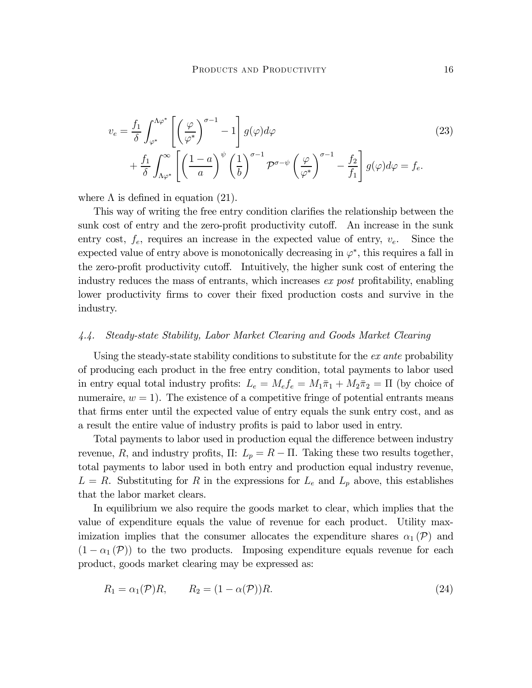$$
v_e = \frac{f_1}{\delta} \int_{\varphi^*}^{\Lambda \varphi^*} \left[ \left(\frac{\varphi}{\varphi^*}\right)^{\sigma-1} - 1 \right] g(\varphi) d\varphi
$$
  
+ 
$$
\frac{f_1}{\delta} \int_{\Lambda \varphi^*}^{\infty} \left[ \left(\frac{1-a}{a}\right)^{\psi} \left(\frac{1}{b}\right)^{\sigma-1} \mathcal{P}^{\sigma-\psi} \left(\frac{\varphi}{\varphi^*}\right)^{\sigma-1} - \frac{f_2}{f_1} \right] g(\varphi) d\varphi = f_e.
$$
 (23)

where  $\Lambda$  is defined in equation (21).

This way of writing the free entry condition clarifies the relationship between the sunk cost of entry and the zero-profit productivity cutoff. An increase in the sunk entry cost,  $f_e$ , requires an increase in the expected value of entry,  $v_e$ . Since the expected value of entry above is monotonically decreasing in  $\varphi^*$ , this requires a fall in the zero-profit productivity cutoff. Intuitively, the higher sunk cost of entering the industry reduces the mass of entrants, which increases ex post profitability, enabling lower productivity firms to cover their fixed production costs and survive in the industry.

#### 4.4. Steady-state Stability, Labor Market Clearing and Goods Market Clearing

Using the steady-state stability conditions to substitute for the ex ante probability of producing each product in the free entry condition, total payments to labor used in entry equal total industry profits:  $L_e = M_e f_e = M_1 \bar{\pi}_1 + M_2 \bar{\pi}_2 = \Pi$  (by choice of numeraire,  $w = 1$ ). The existence of a competitive fringe of potential entrants means that firms enter until the expected value of entry equals the sunk entry cost, and as a result the entire value of industry profits is paid to labor used in entry.

Total payments to labor used in production equal the difference between industry revenue, R, and industry profits,  $\Pi: L_p = R - \Pi$ . Taking these two results together, total payments to labor used in both entry and production equal industry revenue,  $L = R$ . Substituting for R in the expressions for  $L_e$  and  $L_p$  above, this establishes that the labor market clears.

In equilibrium we also require the goods market to clear, which implies that the value of expenditure equals the value of revenue for each product. Utility maximization implies that the consumer allocates the expenditure shares  $\alpha_1(\mathcal{P})$  and  $(1 - \alpha_1(\mathcal{P}))$  to the two products. Imposing expenditure equals revenue for each product, goods market clearing may be expressed as:

$$
R_1 = \alpha_1(\mathcal{P})R, \qquad R_2 = (1 - \alpha(\mathcal{P}))R. \tag{24}
$$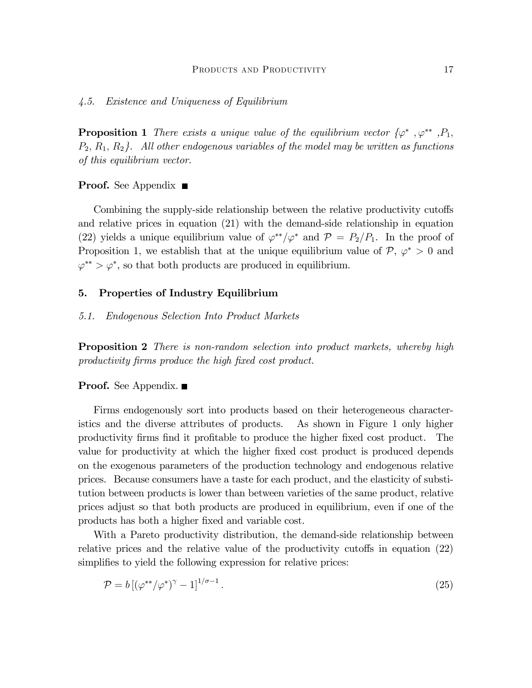#### 4.5. Existence and Uniqueness of Equilibrium

**Proposition 1** There exists a unique value of the equilibrium vector  $\{\varphi^*, \varphi^{**}, P_1,$  $P_2, R_1, R_2$ . All other endogenous variables of the model may be written as functions of this equilibrium vector.

#### **Proof.** See Appendix  $\blacksquare$

Combining the supply-side relationship between the relative productivity cutoffs and relative prices in equation (21) with the demand-side relationship in equation (22) yields a unique equilibrium value of  $\varphi^{**}/\varphi^*$  and  $\mathcal{P} = P_2/P_1$ . In the proof of Proposition 1, we establish that at the unique equilibrium value of  $P, \varphi^* > 0$  and  $\varphi^{**} > \varphi^*$ , so that both products are produced in equilibrium.

#### 5. Properties of Industry Equilibrium

#### 5.1. Endogenous Selection Into Product Markets

**Proposition 2** There is non-random selection into product markets, whereby high productivity firms produce the high fixed cost product.

#### **Proof.** See Appendix.  $\blacksquare$

Firms endogenously sort into products based on their heterogeneous characteristics and the diverse attributes of products. As shown in Figure 1 only higher productivity firms find it profitable to produce the higher fixed cost product. The value for productivity at which the higher fixed cost product is produced depends on the exogenous parameters of the production technology and endogenous relative prices. Because consumers have a taste for each product, and the elasticity of substitution between products is lower than between varieties of the same product, relative prices adjust so that both products are produced in equilibrium, even if one of the products has both a higher fixed and variable cost.

With a Pareto productivity distribution, the demand-side relationship between relative prices and the relative value of the productivity cutoffs in equation (22) simplifies to yield the following expression for relative prices:

$$
\mathcal{P} = b \left[ \left( \varphi^{**} / \varphi^* \right)^\gamma - 1 \right]^{1/\sigma - 1} . \tag{25}
$$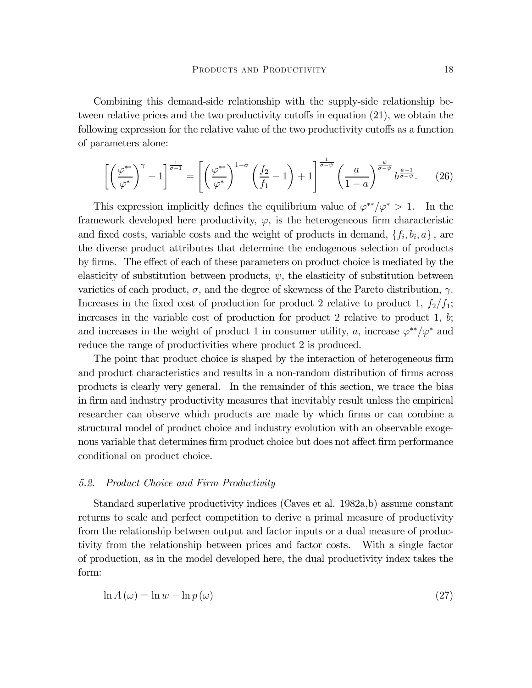Combining this demand-side relationship with the supply-side relationship between relative prices and the two productivity cutoffs in equation (21), we obtain the following expression for the relative value of the two productivity cutoffs as a function of parameters alone:

$$
\left[ \left( \frac{\varphi^{**}}{\varphi^*} \right)^\gamma - 1 \right]^{\frac{1}{\sigma - 1}} = \left[ \left( \frac{\varphi^{**}}{\varphi^*} \right)^{1 - \sigma} \left( \frac{f_2}{f_1} - 1 \right) + 1 \right]^{\frac{1}{\sigma - \psi}} \left( \frac{a}{1 - a} \right)^{\frac{\psi}{\sigma - \psi}} b^{\frac{\psi - 1}{\sigma - \psi}}.
$$
 (26)

This expression implicitly defines the equilibrium value of  $\varphi^{**}/\varphi^* > 1$ . In the framework developed here productivity,  $\varphi$ , is the heterogeneous firm characteristic and fixed costs, variable costs and the weight of products in demand,  $\{f_i, b_i, a\}$ , are the diverse product attributes that determine the endogenous selection of products by firms. The effect of each of these parameters on product choice is mediated by the elasticity of substitution between products,  $\psi$ , the elasticity of substitution between varieties of each product,  $\sigma$ , and the degree of skewness of the Pareto distribution,  $\gamma$ . Increases in the fixed cost of production for product 2 relative to product 1,  $f_2/f_1$ ; increases in the variable cost of production for product 2 relative to product 1, b; and increases in the weight of product 1 in consumer utility, a, increase  $\varphi^{**}/\varphi^*$  and reduce the range of productivities where product 2 is produced.

The point that product choice is shaped by the interaction of heterogeneous firm and product characteristics and results in a non-random distribution of firms across products is clearly very general. In the remainder of this section, we trace the bias in firm and industry productivity measures that inevitably result unless the empirical researcher can observe which products are made by which firms or can combine a structural model of product choice and industry evolution with an observable exogenous variable that determines firm product choice but does not affect firm performance conditional on product choice.

#### 5.2. Product Choice and Firm Productivity

Standard superlative productivity indices (Caves et al. 1982a,b) assume constant returns to scale and perfect competition to derive a primal measure of productivity from the relationship between output and factor inputs or a dual measure of productivity from the relationship between prices and factor costs. With a single factor of production, as in the model developed here, the dual productivity index takes the form:

$$
\ln A(\omega) = \ln w - \ln p(\omega)
$$
\n(27)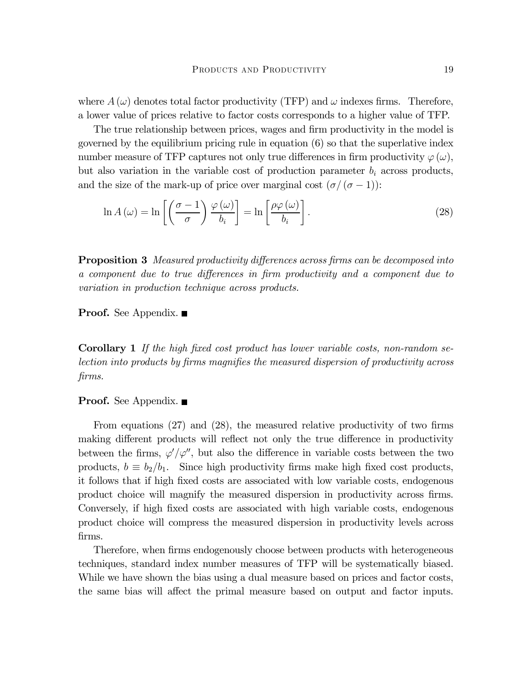where  $A(\omega)$  denotes total factor productivity (TFP) and  $\omega$  indexes firms. Therefore, a lower value of prices relative to factor costs corresponds to a higher value of TFP.

The true relationship between prices, wages and firm productivity in the model is governed by the equilibrium pricing rule in equation (6) so that the superlative index number measure of TFP captures not only true differences in firm productivity  $\varphi(\omega)$ , but also variation in the variable cost of production parameter  $b_i$  across products, and the size of the mark-up of price over marginal cost  $(\sigma/(\sigma-1))$ :

$$
\ln A(\omega) = \ln \left[ \left( \frac{\sigma - 1}{\sigma} \right) \frac{\varphi(\omega)}{b_i} \right] = \ln \left[ \frac{\rho \varphi(\omega)}{b_i} \right].
$$
\n(28)

**Proposition 3** Measured productivity differences across firms can be decomposed into a component due to true differences in firm productivity and a component due to variation in production technique across products.

**Proof.** See Appendix.  $\blacksquare$ 

Corollary 1 If the high fixed cost product has lower variable costs, non-random selection into products by firms magnifies the measured dispersion of productivity across firms.

#### **Proof.** See Appendix.  $\blacksquare$

From equations (27) and (28), the measured relative productivity of two firms making different products will reflect not only the true difference in productivity between the firms,  $\varphi' / \varphi''$ , but also the difference in variable costs between the two products,  $b \equiv b_2/b_1$ . Since high productivity firms make high fixed cost products, it follows that if high fixed costs are associated with low variable costs, endogenous product choice will magnify the measured dispersion in productivity across firms. Conversely, if high fixed costs are associated with high variable costs, endogenous product choice will compress the measured dispersion in productivity levels across firms.

Therefore, when firms endogenously choose between products with heterogeneous techniques, standard index number measures of TFP will be systematically biased. While we have shown the bias using a dual measure based on prices and factor costs, the same bias will affect the primal measure based on output and factor inputs.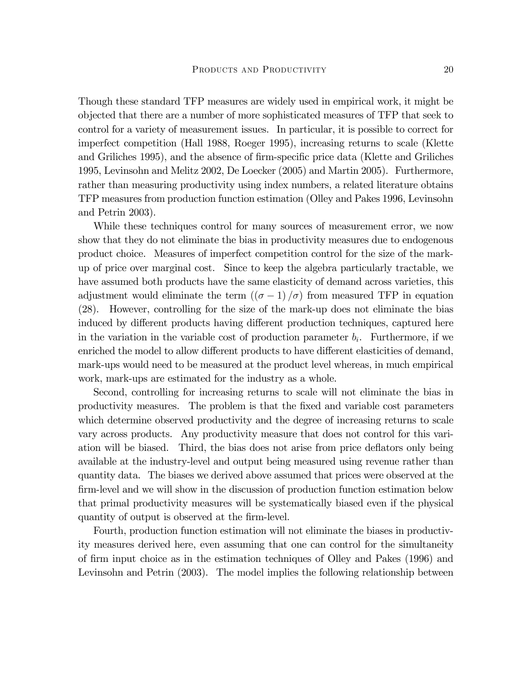Though these standard TFP measures are widely used in empirical work, it might be objected that there are a number of more sophisticated measures of TFP that seek to control for a variety of measurement issues. In particular, it is possible to correct for imperfect competition (Hall 1988, Roeger 1995), increasing returns to scale (Klette and Griliches 1995), and the absence of firm-specific price data (Klette and Griliches 1995, Levinsohn and Melitz 2002, De Loecker (2005) and Martin 2005). Furthermore, rather than measuring productivity using index numbers, a related literature obtains TFP measures from production function estimation (Olley and Pakes 1996, Levinsohn and Petrin 2003).

While these techniques control for many sources of measurement error, we now show that they do not eliminate the bias in productivity measures due to endogenous product choice. Measures of imperfect competition control for the size of the markup of price over marginal cost. Since to keep the algebra particularly tractable, we have assumed both products have the same elasticity of demand across varieties, this adjustment would eliminate the term  $((\sigma - 1)/\sigma)$  from measured TFP in equation (28). However, controlling for the size of the mark-up does not eliminate the bias induced by different products having different production techniques, captured here in the variation in the variable cost of production parameter  $b_i$ . Furthermore, if we enriched the model to allow different products to have different elasticities of demand, mark-ups would need to be measured at the product level whereas, in much empirical work, mark-ups are estimated for the industry as a whole.

Second, controlling for increasing returns to scale will not eliminate the bias in productivity measures. The problem is that the fixed and variable cost parameters which determine observed productivity and the degree of increasing returns to scale vary across products. Any productivity measure that does not control for this variation will be biased. Third, the bias does not arise from price deflators only being available at the industry-level and output being measured using revenue rather than quantity data. The biases we derived above assumed that prices were observed at the firm-level and we will show in the discussion of production function estimation below that primal productivity measures will be systematically biased even if the physical quantity of output is observed at the firm-level.

Fourth, production function estimation will not eliminate the biases in productivity measures derived here, even assuming that one can control for the simultaneity of firm input choice as in the estimation techniques of Olley and Pakes (1996) and Levinsohn and Petrin (2003). The model implies the following relationship between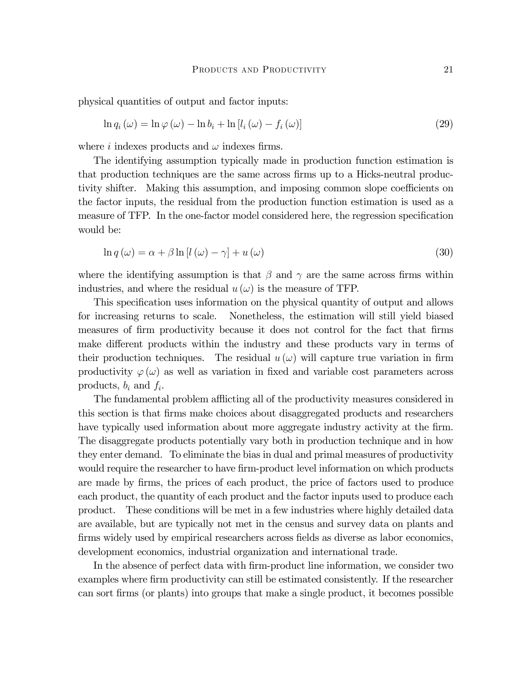physical quantities of output and factor inputs:

$$
\ln q_i(\omega) = \ln \varphi(\omega) - \ln b_i + \ln [l_i(\omega) - f_i(\omega)] \tag{29}
$$

where i indexes products and  $\omega$  indexes firms.

The identifying assumption typically made in production function estimation is that production techniques are the same across firms up to a Hicks-neutral productivity shifter. Making this assumption, and imposing common slope coefficients on the factor inputs, the residual from the production function estimation is used as a measure of TFP. In the one-factor model considered here, the regression specification would be:

$$
\ln q(\omega) = \alpha + \beta \ln \left[l(\omega) - \gamma\right] + u(\omega) \tag{30}
$$

where the identifying assumption is that  $\beta$  and  $\gamma$  are the same across firms within industries, and where the residual  $u(\omega)$  is the measure of TFP.

This specification uses information on the physical quantity of output and allows for increasing returns to scale. Nonetheless, the estimation will still yield biased measures of firm productivity because it does not control for the fact that firms make different products within the industry and these products vary in terms of their production techniques. The residual  $u(\omega)$  will capture true variation in firm productivity  $\varphi(\omega)$  as well as variation in fixed and variable cost parameters across products,  $b_i$  and  $f_i$ .

The fundamental problem afflicting all of the productivity measures considered in this section is that firms make choices about disaggregated products and researchers have typically used information about more aggregate industry activity at the firm. The disaggregate products potentially vary both in production technique and in how they enter demand. To eliminate the bias in dual and primal measures of productivity would require the researcher to have firm-product level information on which products are made by firms, the prices of each product, the price of factors used to produce each product, the quantity of each product and the factor inputs used to produce each product. These conditions will be met in a few industries where highly detailed data are available, but are typically not met in the census and survey data on plants and firms widely used by empirical researchers across fields as diverse as labor economics, development economics, industrial organization and international trade.

In the absence of perfect data with firm-product line information, we consider two examples where firm productivity can still be estimated consistently. If the researcher can sort firms (or plants) into groups that make a single product, it becomes possible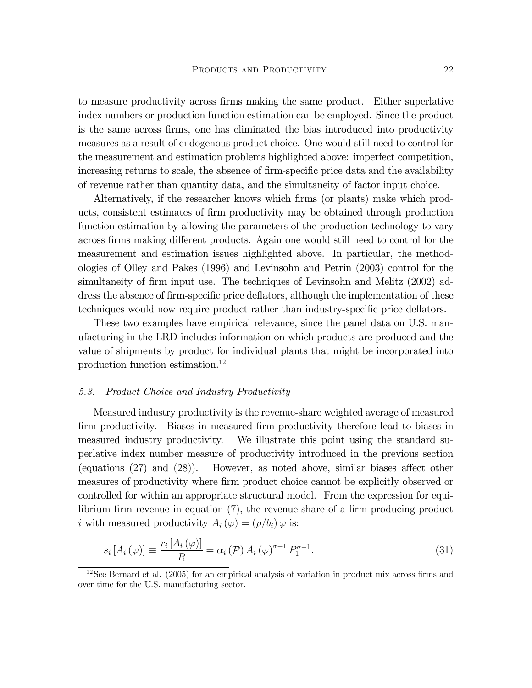to measure productivity across firms making the same product. Either superlative index numbers or production function estimation can be employed. Since the product is the same across firms, one has eliminated the bias introduced into productivity measures as a result of endogenous product choice. One would still need to control for the measurement and estimation problems highlighted above: imperfect competition, increasing returns to scale, the absence of firm-specific price data and the availability of revenue rather than quantity data, and the simultaneity of factor input choice.

Alternatively, if the researcher knows which firms (or plants) make which products, consistent estimates of firm productivity may be obtained through production function estimation by allowing the parameters of the production technology to vary across firms making different products. Again one would still need to control for the measurement and estimation issues highlighted above. In particular, the methodologies of Olley and Pakes (1996) and Levinsohn and Petrin (2003) control for the simultaneity of firm input use. The techniques of Levinsohn and Melitz  $(2002)$  address the absence of firm-specific price deflators, although the implementation of these techniques would now require product rather than industry-specific price deflators.

These two examples have empirical relevance, since the panel data on U.S. manufacturing in the LRD includes information on which products are produced and the value of shipments by product for individual plants that might be incorporated into production function estimation.12

#### 5.3. Product Choice and Industry Productivity

Measured industry productivity is the revenue-share weighted average of measured firm productivity. Biases in measured firm productivity therefore lead to biases in measured industry productivity. We illustrate this point using the standard superlative index number measure of productivity introduced in the previous section (equations (27) and (28)). However, as noted above, similar biases affect other measures of productivity where firm product choice cannot be explicitly observed or controlled for within an appropriate structural model. From the expression for equilibrium firm revenue in equation (7), the revenue share of a firm producing product *i* with measured productivity  $A_i(\varphi)=(\rho/b_i)\varphi$  is:

$$
s_i\left[A_i\left(\varphi\right)\right] \equiv \frac{r_i\left[A_i\left(\varphi\right)\right]}{R} = \alpha_i\left(\mathcal{P}\right)A_i\left(\varphi\right)^{\sigma-1}P_1^{\sigma-1}.\tag{31}
$$

<sup>&</sup>lt;sup>12</sup>See Bernard et al. (2005) for an empirical analysis of variation in product mix across firms and over time for the U.S. manufacturing sector.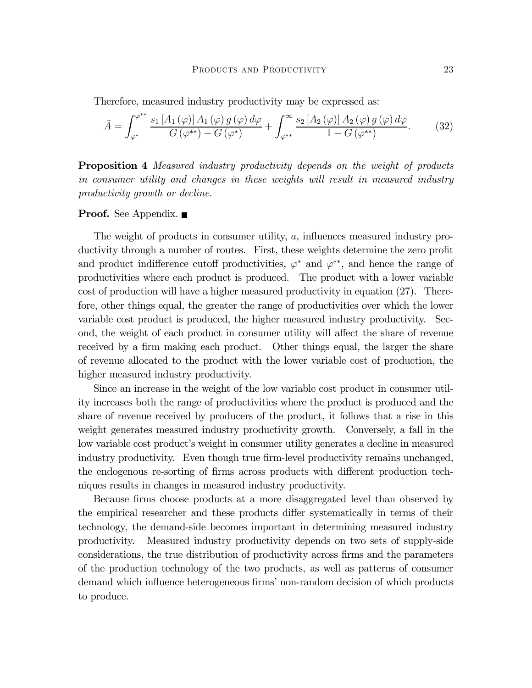Therefore, measured industry productivity may be expressed as:

$$
\bar{A} = \int_{\varphi^*}^{\varphi^{**}} \frac{s_1\left[A_1\left(\varphi\right)\right]A_1\left(\varphi\right)g\left(\varphi\right)d\varphi}{G\left(\varphi^{**}\right) - G\left(\varphi^*\right)} + \int_{\varphi^{**}}^{\infty} \frac{s_2\left[A_2\left(\varphi\right)\right]A_2\left(\varphi\right)g\left(\varphi\right)d\varphi}{1 - G\left(\varphi^{**}\right)}.\tag{32}
$$

**Proposition 4** Measured industry productivity depends on the weight of products in consumer utility and changes in these weights will result in measured industry productivity growth or decline.

#### **Proof.** See Appendix. ■

The weight of products in consumer utility, a, influences measured industry productivity through a number of routes. First, these weights determine the zero profit and product indifference cutoff productivities,  $\varphi^*$  and  $\varphi^{**}$ , and hence the range of productivities where each product is produced. The product with a lower variable cost of production will have a higher measured productivity in equation (27). Therefore, other things equal, the greater the range of productivities over which the lower variable cost product is produced, the higher measured industry productivity. Second, the weight of each product in consumer utility will affect the share of revenue received by a firm making each product. Other things equal, the larger the share of revenue allocated to the product with the lower variable cost of production, the higher measured industry productivity.

Since an increase in the weight of the low variable cost product in consumer utility increases both the range of productivities where the product is produced and the share of revenue received by producers of the product, it follows that a rise in this weight generates measured industry productivity growth. Conversely, a fall in the low variable cost product's weight in consumer utility generates a decline in measured industry productivity. Even though true firm-level productivity remains unchanged, the endogenous re-sorting of firms across products with different production techniques results in changes in measured industry productivity.

Because firms choose products at a more disaggregated level than observed by the empirical researcher and these products differ systematically in terms of their technology, the demand-side becomes important in determining measured industry productivity. Measured industry productivity depends on two sets of supply-side considerations, the true distribution of productivity across firms and the parameters of the production technology of the two products, as well as patterns of consumer demand which influence heterogeneous firms' non-random decision of which products to produce.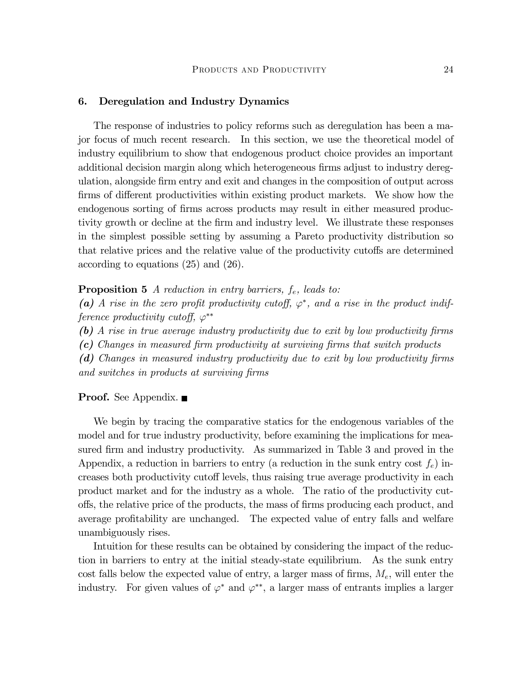#### 6. Deregulation and Industry Dynamics

The response of industries to policy reforms such as deregulation has been a major focus of much recent research. In this section, we use the theoretical model of industry equilibrium to show that endogenous product choice provides an important additional decision margin along which heterogeneous firms adjust to industry deregulation, alongside firm entry and exit and changes in the composition of output across firms of different productivities within existing product markets. We show how the endogenous sorting of firms across products may result in either measured productivity growth or decline at the firm and industry level. We illustrate these responses in the simplest possible setting by assuming a Pareto productivity distribution so that relative prices and the relative value of the productivity cutoffs are determined according to equations (25) and (26).

**Proposition 5** A reduction in entry barriers,  $f_e$ , leads to:

(a) A rise in the zero profit productivity cutoff,  $\varphi^*$ , and a rise in the product indifference productivity cutoff,  $\varphi^{**}$ 

(b) A rise in true average industry productivity due to exit by low productivity firms

(c) Changes in measured firm productivity at surviving firms that switch products

(d) Changes in measured industry productivity due to exit by low productivity firms and switches in products at surviving firms

#### **Proof.** See Appendix.  $\blacksquare$

We begin by tracing the comparative statics for the endogenous variables of the model and for true industry productivity, before examining the implications for measured firm and industry productivity. As summarized in Table 3 and proved in the Appendix, a reduction in barriers to entry (a reduction in the sunk entry cost  $f_e$ ) increases both productivity cutoff levels, thus raising true average productivity in each product market and for the industry as a whole. The ratio of the productivity cutoffs, the relative price of the products, the mass of firms producing each product, and average profitability are unchanged. The expected value of entry falls and welfare unambiguously rises.

Intuition for these results can be obtained by considering the impact of the reduction in barriers to entry at the initial steady-state equilibrium. As the sunk entry cost falls below the expected value of entry, a larger mass of firms,  $M_e$ , will enter the industry. For given values of  $\varphi^*$  and  $\varphi^{**}$ , a larger mass of entrants implies a larger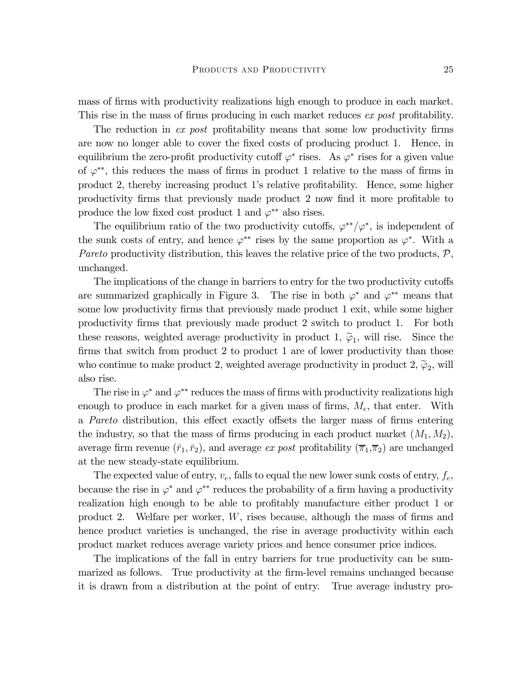mass of firms with productivity realizations high enough to produce in each market. This rise in the mass of firms producing in each market reduces ex post profitability.

The reduction in ex post profitability means that some low productivity firms are now no longer able to cover the fixed costs of producing product 1. Hence, in equilibrium the zero-profit productivity cutoff  $\varphi^*$  rises. As  $\varphi^*$  rises for a given value of  $\varphi^{**}$ , this reduces the mass of firms in product 1 relative to the mass of firms in product 2, thereby increasing product 1's relative profitability. Hence, some higher productivity firms that previously made product 2 now find it more profitable to produce the low fixed cost product 1 and  $\varphi^{**}$  also rises.

The equilibrium ratio of the two productivity cutoffs,  $\varphi^{**}/\varphi^*$ , is independent of the sunk costs of entry, and hence  $\varphi^{**}$  rises by the same proportion as  $\varphi^*$ . With a Pareto productivity distribution, this leaves the relative price of the two products,  $P$ , unchanged.

The implications of the change in barriers to entry for the two productivity cutoffs are summarized graphically in Figure 3. The rise in both  $\varphi^*$  and  $\varphi^{**}$  means that some low productivity firms that previously made product 1 exit, while some higher productivity firms that previously made product 2 switch to product 1. For both these reasons, weighted average productivity in product 1,  $\tilde{\varphi}_1$ , will rise. Since the firms that switch from product 2 to product 1 are of lower productivity than those who continue to make product 2, weighted average productivity in product 2,  $\tilde{\varphi}_2$ , will also rise.

The rise in  $\varphi^*$  and  $\varphi^{**}$  reduces the mass of firms with productivity realizations high enough to produce in each market for a given mass of firms,  $M_e$ , that enter. With a Pareto distribution, this effect exactly offsets the larger mass of firms entering the industry, so that the mass of firms producing in each product market  $(M_1, M_2)$ , average firm revenue  $(\bar{r}_1, \bar{r}_2)$ , and average ex post profitability  $(\bar{\pi}_1, \bar{\pi}_2)$  are unchanged at the new steady-state equilibrium.

The expected value of entry,  $v_e$ , falls to equal the new lower sunk costs of entry,  $f_e$ , because the rise in  $\varphi^*$  and  $\varphi^{**}$  reduces the probability of a firm having a productivity realization high enough to be able to profitably manufacture either product 1 or product 2. Welfare per worker, W, rises because, although the mass of firms and hence product varieties is unchanged, the rise in average productivity within each product market reduces average variety prices and hence consumer price indices.

The implications of the fall in entry barriers for true productivity can be summarized as follows. True productivity at the firm-level remains unchanged because it is drawn from a distribution at the point of entry. True average industry pro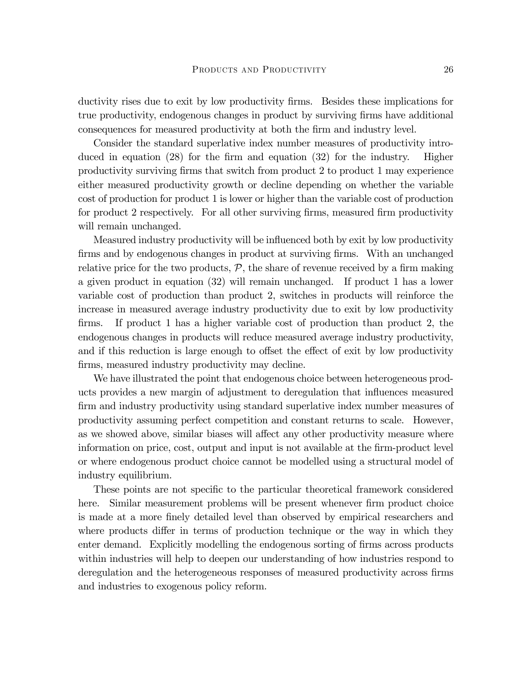ductivity rises due to exit by low productivity firms. Besides these implications for true productivity, endogenous changes in product by surviving firms have additional consequences for measured productivity at both the firm and industry level.

Consider the standard superlative index number measures of productivity introduced in equation (28) for the firm and equation (32) for the industry. Higher productivity surviving firms that switch from product 2 to product 1 may experience either measured productivity growth or decline depending on whether the variable cost of production for product 1 is lower or higher than the variable cost of production for product 2 respectively. For all other surviving firms, measured firm productivity will remain unchanged.

Measured industry productivity will be influenced both by exit by low productivity firms and by endogenous changes in product at surviving firms. With an unchanged relative price for the two products,  $P$ , the share of revenue received by a firm making a given product in equation (32) will remain unchanged. If product 1 has a lower variable cost of production than product 2, switches in products will reinforce the increase in measured average industry productivity due to exit by low productivity firms. If product 1 has a higher variable cost of production than product 2, the endogenous changes in products will reduce measured average industry productivity, and if this reduction is large enough to offset the effect of exit by low productivity firms, measured industry productivity may decline.

We have illustrated the point that endogenous choice between heterogeneous products provides a new margin of adjustment to deregulation that influences measured firm and industry productivity using standard superlative index number measures of productivity assuming perfect competition and constant returns to scale. However, as we showed above, similar biases will affect any other productivity measure where information on price, cost, output and input is not available at the firm-product level or where endogenous product choice cannot be modelled using a structural model of industry equilibrium.

These points are not specific to the particular theoretical framework considered here. Similar measurement problems will be present whenever firm product choice is made at a more finely detailed level than observed by empirical researchers and where products differ in terms of production technique or the way in which they enter demand. Explicitly modelling the endogenous sorting of firms across products within industries will help to deepen our understanding of how industries respond to deregulation and the heterogeneous responses of measured productivity across firms and industries to exogenous policy reform.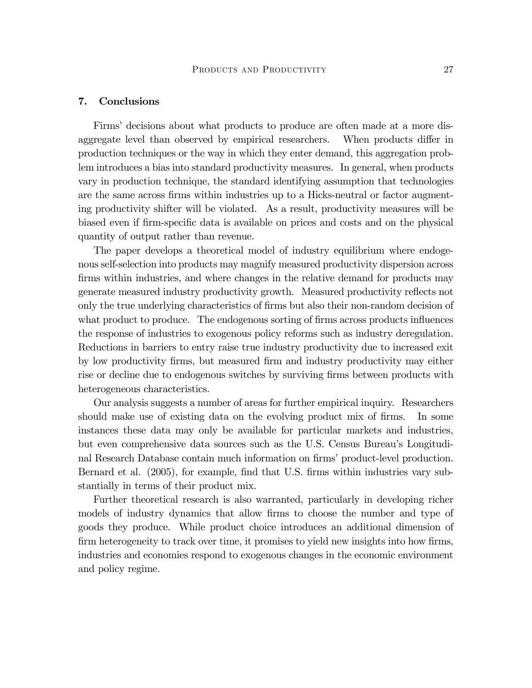#### 7. Conclusions

Firms' decisions about what products to produce are often made at a more disaggregate level than observed by empirical researchers. When products differ in production techniques or the way in which they enter demand, this aggregation problem introduces a bias into standard productivity measures. In general, when products vary in production technique, the standard identifying assumption that technologies are the same across firms within industries up to a Hicks-neutral or factor augmenting productivity shifter will be violated. As a result, productivity measures will be biased even if firm-specific data is available on prices and costs and on the physical quantity of output rather than revenue.

The paper develops a theoretical model of industry equilibrium where endogenous self-selection into products may magnify measured productivity dispersion across firms within industries, and where changes in the relative demand for products may generate measured industry productivity growth. Measured productivity reflects not only the true underlying characteristics of firms but also their non-random decision of what product to produce. The endogenous sorting of firms across products influences the response of industries to exogenous policy reforms such as industry deregulation. Reductions in barriers to entry raise true industry productivity due to increased exit by low productivity firms, but measured firm and industry productivity may either rise or decline due to endogenous switches by surviving firms between products with heterogeneous characteristics.

Our analysis suggests a number of areas for further empirical inquiry. Researchers should make use of existing data on the evolving product mix of firms. In some instances these data may only be available for particular markets and industries, but even comprehensive data sources such as the U.S. Census Bureau's Longitudinal Research Database contain much information on firms' product-level production. Bernard et al. (2005), for example, find that U.S. firms within industries vary substantially in terms of their product mix.

Further theoretical research is also warranted, particularly in developing richer models of industry dynamics that allow firms to choose the number and type of goods they produce. While product choice introduces an additional dimension of firm heterogeneity to track over time, it promises to yield new insights into how firms, industries and economies respond to exogenous changes in the economic environment and policy regime.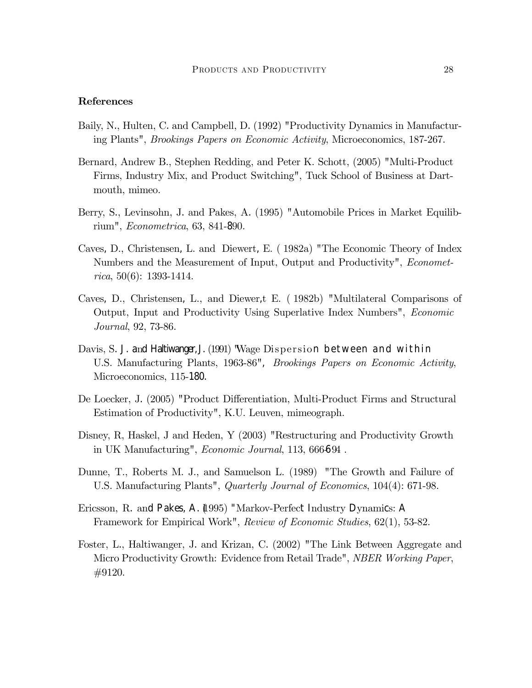#### References

- Baily, N., Hulten, C. and Campbell, D. (1992) "Productivity Dynamics in Manufacturing Plants", Brookings Papers on Economic Activity, Microeconomics, 187-267.
- Bernard, Andrew B., Stephen Redding, and Peter K. Schott, (2005) "Multi-Product Firms, Industry Mix, and Product Switching", Tuck School of Business at Dartmouth, mimeo.
- Berry, S., Levinsohn, J. and Pakes, A. (1995) "Automobile Prices in Market Equilibrium", Econometrica, 63, 841-890.
- Caves, D., Christensen, L. and Diewert, E. ( 1982a) "The Economic Theory of Index Numbers and the Measurement of Input, Output and Productivity", *Economet*rica, 50(6): 1393-1414.
- Caves, D., Christensen, L., and Diewer,t E. ( 1982b) "Multilateral Comparisons of Output, Input and Productivity Using Superlative Index Numbers", Economic Journal, 92, 73-86.
- Davis, S. J. and Haltiwanger, J. (1991) "Wage Dispersion between and within U.S. Manufacturing Plants, 1963-86", Brookings Papers on Economic Activity, Microeconomics, 115-180.
- De Loecker, J. (2005) "Product Differentiation, Multi-Product Firms and Structural Estimation of Productivity", K.U. Leuven, mimeograph.
- Disney, R, Haskel, J and Heden, Y (2003) "Restructuring and Productivity Growth in UK Manufacturing", *Economic Journal*, 113, 666694.
- Dunne, T., Roberts M. J., and Samuelson L. (1989) "The Growth and Failure of U.S. Manufacturing Plants", *Quarterly Journal of Economics*, 104(4): 671-98.
- Ericsson, R. and Pakes, A. (1995) "Markov-Perfect Industry Dynamics: A Framework for Empirical Work", Review of Economic Studies, 62(1), 53-82.
- Foster, L., Haltiwanger, J. and Krizan, C. (2002) "The Link Between Aggregate and Micro Productivity Growth: Evidence from Retail Trade", NBER Working Paper, #9120.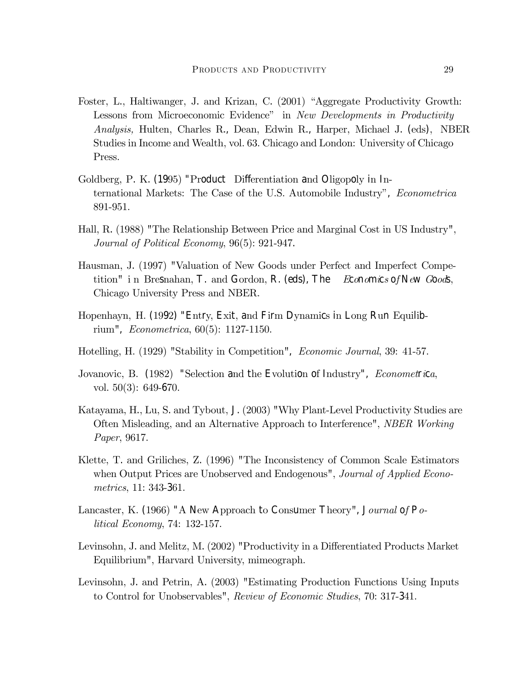- Foster, L., Haltiwanger, J. and Krizan, C. (2001) "Aggregate Productivity Growth: Lessons from Microeconomic Evidence" in New Developments in Productivity Analysis, Hulten, Charles R., Dean, Edwin R., Harper, Michael J. (eds), NBER Studies in Income and Wealth, vol. 63. Chicago and London: University of Chicago Press.
- Goldberg, P. K. (1995) "Product Differentiation and Oligopoly in International Markets: The Case of the U.S. Automobile Industry", Econometrica 891-951.
- Hall, R. (1988) "The Relationship Between Price and Marginal Cost in US Industry", Journal of Political Economy, 96(5): 921-947.
- Hausman, J. (1997) "Valuation of New Goods under Perfect and Imperfect Competition" in Bresnahan, T. and Gordon, R. (eds), The Economics of New Goods, Chicago University Press and NBER.
- Hopenhayn, H. (1992) "Entry, Exit, and Firm Dynamics in Long Run Equilibrium", Econometrica, 60(5): 1127-1150.
- Hotelling, H. (1929) "Stability in Competition", Economic Journal, 39: 41-57.
- Jovanovic, B. (1982) "Selection and the Evolution of Industry", *Econometrica*, vol. 50(3): 649-670.
- Katayama, H., Lu, S. and Tybout, J. (2003) "Why Plant-Level Productivity Studies are Often Misleading, and an Alternative Approach to Interference", NBER Working Paper, 9617.
- Klette, T. and Griliches, Z. (1996) "The Inconsistency of Common Scale Estimators when Output Prices are Unobserved and Endogenous", *Journal of Applied Econo*metrics, 11: 343-361.
- Lancaster, K. (1966) "A New Approach to Consumer Theory", Journal of Political Economy, 74: 132-157.
- Levinsohn, J. and Melitz, M. (2002) "Productivity in a Differentiated Products Market Equilibrium", Harvard University, mimeograph.
- Levinsohn, J. and Petrin, A. (2003) "Estimating Production Functions Using Inputs to Control for Unobservables", Review of Economic Studies, 70: 317-341.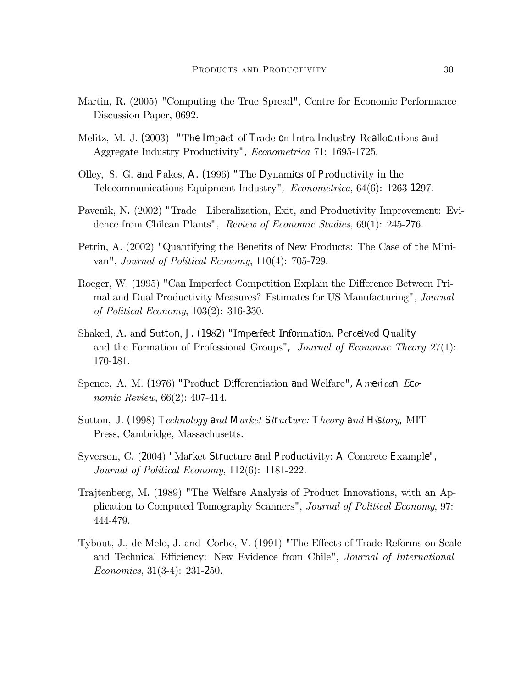- Martin, R. (2005) "Computing the True Spread", Centre for Economic Performance Discussion Paper, 0692.
- Melitz, M. J. (2003) "The Impact of Trade on Intra-Industry Reallocations and Aggregate Industry Productivity", Econometrica 71: 1695-1725.
- Olley, S. G. and Pakes, A. (1996) "The Dynamics of Productivity in the Telecommunications Equipment Industry", Econometrica, 64(6): 1263-1297.
- Pavcnik, N. (2002) "Trade Liberalization, Exit, and Productivity Improvement: Evidence from Chilean Plants", Review of Economic Studies, 69(1): 245-276.
- Petrin, A. (2002) "Quantifying the Benefits of New Products: The Case of the Minivan", Journal of Political Economy, 110(4): 705-729.
- Roeger, W. (1995) "Can Imperfect Competition Explain the Difference Between Primal and Dual Productivity Measures? Estimates for US Manufacturing", Journal of Political Economy, 103(2): 316-330.
- Shaked, A. and Sutton, J. (1982) "Imperfect Information, Perceived Quality and the Formation of Professional Groups", Journal of Economic Theory 27(1): 170-181.
- Spence, A. M. (1976) "Product Differentiation and Welfare", American Economic Review, 66(2): 407-414.
- Sutton, J. (1998) Technology and Market Structure: Theory and History, MIT Press, Cambridge, Massachusetts.
- Syverson, C. (2004) "Market Structure and Productivity: A Concrete Example", Journal of Political Economy, 112(6): 1181-222.
- Trajtenberg, M. (1989) "The Welfare Analysis of Product Innovations, with an Application to Computed Tomography Scanners", Journal of Political Economy, 97: 444-479.
- Tybout, J., de Melo, J. and Corbo, V. (1991) "The Effects of Trade Reforms on Scale and Technical Efficiency: New Evidence from Chile", Journal of International Economics, 31(3-4): 231-250.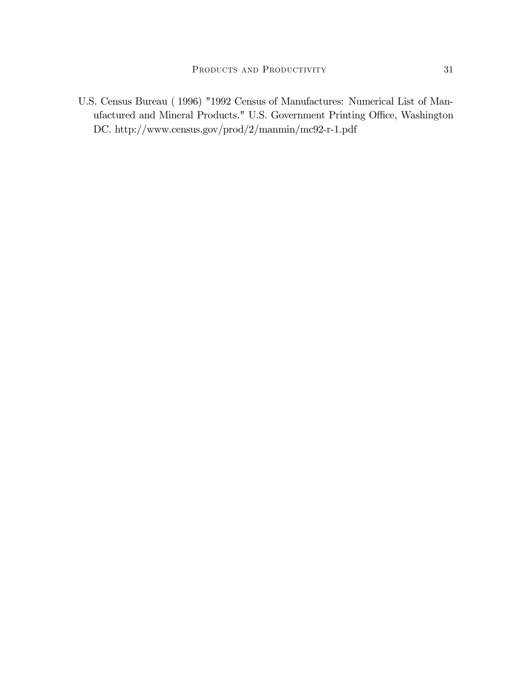U.S. Census Bureau ( 1996) "1992 Census of Manufactures: Numerical List of Manufactured and Mineral Products." U.S. Government Printing Office, Washington DC. http://www.census.gov/prod/2/manmin/mc92-r-1.pdf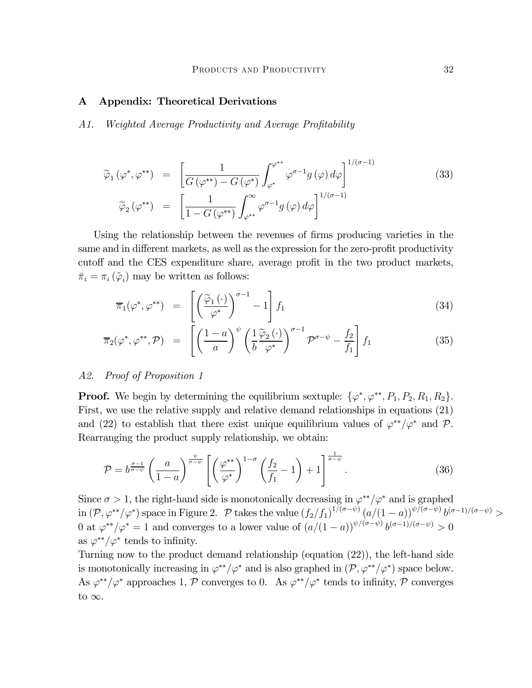#### A Appendix: Theoretical Derivations

A1. Weighted Average Productivity and Average Profitability

$$
\widetilde{\varphi}_{1}(\varphi^{*}, \varphi^{**}) = \left[ \frac{1}{G(\varphi^{**}) - G(\varphi^{*})} \int_{\varphi^{*}}^{\varphi^{**}} \varphi^{\sigma-1} g(\varphi) d\varphi \right]^{1/(\sigma-1)}
$$
\n
$$
\widetilde{\varphi}_{2}(\varphi^{**}) = \left[ \frac{1}{1 - G(\varphi^{**})} \int_{\varphi^{**}}^{\infty} \varphi^{\sigma-1} g(\varphi) d\varphi \right]^{1/(\sigma-1)}
$$
\n(33)

Using the relationship between the revenues of firms producing varieties in the same and in different markets, as well as the expression for the zero-profit productivity cutoff and the CES expenditure share, average profit in the two product markets,  $\bar{\pi}_i = \pi_i (\tilde{\varphi}_i)$  may be written as follows:

$$
\overline{\pi}_1(\varphi^*, \varphi^{**}) = \left[ \left( \frac{\widetilde{\varphi}_1(\cdot)}{\varphi^*} \right)^{\sigma - 1} - 1 \right] f_1 \tag{34}
$$

$$
\overline{\pi}_2(\varphi^*, \varphi^{**}, \mathcal{P}) = \left[ \left( \frac{1-a}{a} \right)^{\psi} \left( \frac{1}{b} \frac{\widetilde{\varphi}_2(\cdot)}{\varphi^*} \right)^{\sigma-1} \mathcal{P}^{\sigma-\psi} - \frac{f_2}{f_1} \right] f_1 \tag{35}
$$

#### A2. Proof of Proposition 1

**Proof.** We begin by determining the equilibrium sextuple:  $\{\varphi^*, \varphi^{**}, P_1, P_2, R_1, R_2\}$ . First, we use the relative supply and relative demand relationships in equations (21) and (22) to establish that there exist unique equilibrium values of  $\varphi^{**}/\varphi^*$  and  $\mathcal{P}$ . Rearranging the product supply relationship, we obtain:

$$
\mathcal{P} = b^{\frac{\sigma-1}{\sigma-\psi}} \left( \frac{a}{1-a} \right)^{\frac{\psi}{\sigma-\psi}} \left[ \left( \frac{\varphi^{**}}{\varphi^*} \right)^{1-\sigma} \left( \frac{f_2}{f_1} - 1 \right) + 1 \right]^{\frac{1}{\sigma-\psi}}.
$$
\n(36)

Since  $\sigma > 1$ , the right-hand side is monotonically decreasing in  $\varphi^{**}/\varphi^*$  and is graphed  $\text{in } (\mathcal{P}, \varphi^{**}/\varphi^*) \text{ space in Figure 2.}$   $\mathcal{P}$  takes the value  $(f_2/f_1)^{1/(\sigma-\psi)} (a/(1-a))^{\psi/(\sigma-\psi)} b^{(\sigma-1)/(\sigma-\psi)} >$ 0 at  $\varphi^{**}/\varphi^* = 1$  and converges to a lower value of  $(a/(1-a))^{\psi/(\sigma-\psi)}b^{(\sigma-1)/(\sigma-\psi)} > 0$ as  $\varphi^{**}/\varphi^*$  tends to infinity.

Turning now to the product demand relationship (equation (22)), the left-hand side is monotonically increasing in  $\varphi^{**}/\varphi^*$  and is also graphed in  $(\mathcal{P}, \varphi^{**}/\varphi^*)$  space below. As  $\varphi^{**}/\varphi^*$  approaches 1, P converges to 0. As  $\varphi^{**}/\varphi^*$  tends to infinity, P converges to  $\infty$ .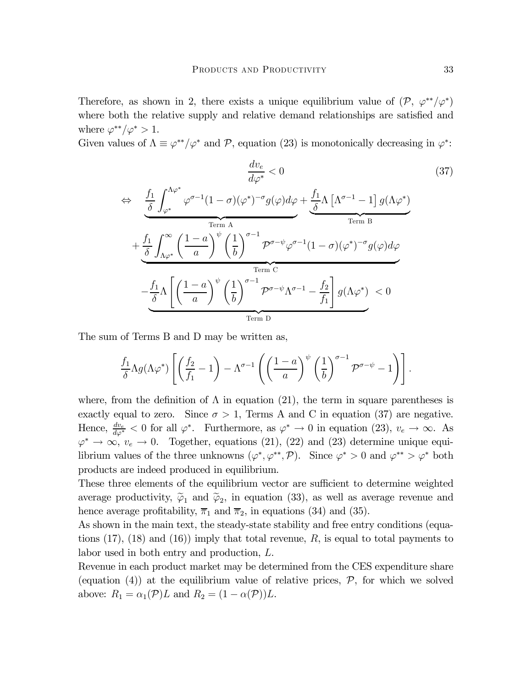Therefore, as shown in 2, there exists a unique equilibrium value of  $(\mathcal{P}, \varphi^{**}/\varphi^*)$ where both the relative supply and relative demand relationships are satisfied and where  $\varphi^{**}/\varphi^* > 1$ .

Given values of  $\Lambda \equiv \varphi^{**}/\varphi^*$  and  $\mathcal{P}$ , equation (23) is monotonically decreasing in  $\varphi^*$ :

$$
\frac{dv_e}{d\varphi^*} < 0 \tag{37}
$$
\n
$$
\Leftrightarrow \frac{\frac{f_1}{\delta} \int_{\varphi^*}^{\Lambda \varphi^*} \varphi^{\sigma-1} (1-\sigma) (\varphi^*)^{-\sigma} g(\varphi) d\varphi + \frac{f_1}{\delta} \Lambda \left[ \Lambda^{\sigma-1} - 1 \right] g(\Lambda \varphi^*)}{\lim_{\text{Term B}}} \times \frac{f_1}{\frac{\delta} \int_{\Lambda \varphi^*}^{\infty} \left( \frac{1-a}{a} \right)^{\psi} \left( \frac{1}{b} \right)^{\sigma-1} \mathcal{P}^{\sigma-\psi} \varphi^{\sigma-1} (1-\sigma) (\varphi^*)^{-\sigma} g(\varphi) d\varphi}{\lim_{\text{Term C}}} \times \frac{f_1}{\frac{\delta} \delta} \Lambda \left[ \left( \frac{1-a}{a} \right)^{\psi} \left( \frac{1}{b} \right)^{\sigma-1} \mathcal{P}^{\sigma-\psi} \Lambda^{\sigma-1} - \frac{f_2}{f_1} \right] g(\Lambda \varphi^*)} {\lim_{\text{Term D}}} \times 0
$$
\n(37)

The sum of Terms B and D may be written as,

$$
\frac{f_1}{\delta} \Lambda g(\Lambda \varphi^*) \left[ \left( \frac{f_2}{f_1} - 1 \right) - \Lambda^{\sigma - 1} \left( \left( \frac{1 - a}{a} \right)^{\psi} \left( \frac{1}{b} \right)^{\sigma - 1} \mathcal{P}^{\sigma - \psi} - 1 \right) \right].
$$

where, from the definition of  $\Lambda$  in equation (21), the term in square parentheses is exactly equal to zero. Since  $\sigma > 1$ , Terms A and C in equation (37) are negative. Hence,  $\frac{dv_e}{d\varphi^*} < 0$  for all  $\varphi^*$ . Furthermore, as  $\varphi^* \to 0$  in equation (23),  $v_e \to \infty$ . As  $\varphi^* \to \infty$ ,  $v_e \to 0$ . Together, equations (21), (22) and (23) determine unique equilibrium values of the three unknowns  $(\varphi^*, \varphi^{**}, \mathcal{P})$ . Since  $\varphi^* > 0$  and  $\varphi^{**} > \varphi^*$  both products are indeed produced in equilibrium.

These three elements of the equilibrium vector are sufficient to determine weighted average productivity,  $\tilde{\varphi}_1$  and  $\tilde{\varphi}_2$ , in equation (33), as well as average revenue and hence average profitability,  $\overline{\pi}_1$  and  $\overline{\pi}_2$ , in equations (34) and (35).

As shown in the main text, the steady-state stability and free entry conditions (equations  $(17)$ ,  $(18)$  and  $(16)$ ) imply that total revenue, R, is equal to total payments to labor used in both entry and production, L.

Revenue in each product market may be determined from the CES expenditure share (equation (4)) at the equilibrium value of relative prices,  $P$ , for which we solved above:  $R_1 = \alpha_1(\mathcal{P})L$  and  $R_2 = (1 - \alpha(\mathcal{P}))L$ .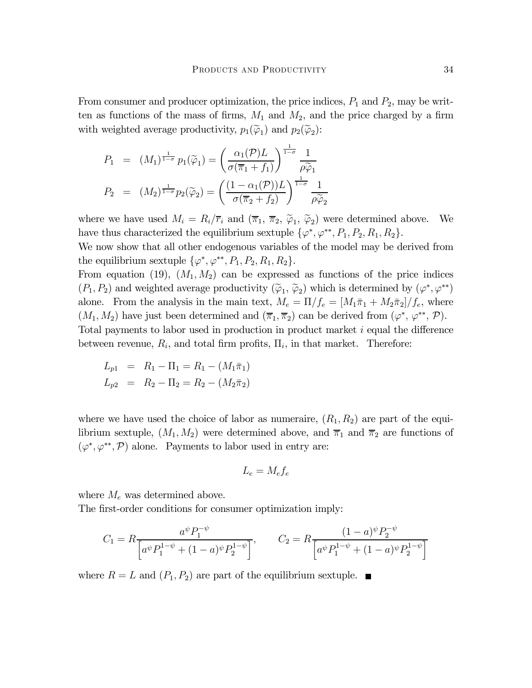From consumer and producer optimization, the price indices,  $P_1$  and  $P_2$ , may be written as functions of the mass of firms,  $M_1$  and  $M_2$ , and the price charged by a firm with weighted average productivity,  $p_1(\tilde{\varphi}_1)$  and  $p_2(\tilde{\varphi}_2)$ :

$$
P_1 = (M_1)^{\frac{1}{1-\sigma}} p_1(\widetilde{\varphi}_1) = \left(\frac{\alpha_1(\mathcal{P})L}{\sigma(\overline{\pi}_1 + f_1)}\right)^{\frac{1}{1-\sigma}} \frac{1}{\rho \widetilde{\varphi}_1}
$$

$$
P_2 = (M_2)^{\frac{1}{1-\sigma}} p_2(\widetilde{\varphi}_2) = \left(\frac{(1-\alpha_1(\mathcal{P}))L}{\sigma(\overline{\pi}_2 + f_2)}\right)^{\frac{1}{1-\sigma}} \frac{1}{\rho \widetilde{\varphi}_2}
$$

where we have used  $M_i = R_i/\overline{r}_i$  and  $(\overline{\pi}_1, \overline{\pi}_2, \widetilde{\varphi}_1, \widetilde{\varphi}_2)$  were determined above. We have thus characterized the equilibrium sextuple  $\{\varphi^*, \varphi^{**}, P_1, P_2, R_1, R_2\}.$ 

We now show that all other endogenous variables of the model may be derived from the equilibrium sextuple  $\{\varphi^*, \varphi^{**}, P_1, P_2, R_1, R_2\}.$ 

From equation (19),  $(M_1, M_2)$  can be expressed as functions of the price indices  $(P_1, P_2)$  and weighted average productivity  $(\tilde{\varphi}_1, \tilde{\varphi}_2)$  which is determined by  $(\varphi^*, \varphi^{**})$ alone. From the analysis in the main text,  $M_e = \Pi/f_e = [M_1\bar{\pi}_1 + M_2\bar{\pi}_2]/f_e$ , where  $(M_1, M_2)$  have just been determined and  $(\overline{\pi}_1, \overline{\pi}_2)$  can be derived from  $(\varphi^*, \varphi^{**}, \mathcal{P})$ . Total payments to labor used in production in product market i equal the difference between revenue,  $R_i$ , and total firm profits,  $\Pi_i$ , in that market. Therefore:

$$
L_{p1} = R_1 - \Pi_1 = R_1 - (M_1 \bar{\pi}_1)
$$

$$
L_{p2} = R_2 - \Pi_2 = R_2 - (M_2 \bar{\pi}_2)
$$

where we have used the choice of labor as numeraire,  $(R_1, R_2)$  are part of the equilibrium sextuple,  $(M_1, M_2)$  were determined above, and  $\overline{\pi}_1$  and  $\overline{\pi}_2$  are functions of  $(\varphi^*, \varphi^{**}, \mathcal{P})$  alone. Payments to labor used in entry are:

$$
L_e = M_e f_e
$$

where  $M_e$  was determined above.

The first-order conditions for consumer optimization imply:

$$
C_1 = R \frac{a^{\psi} P_1^{-\psi}}{\left[a^{\psi} P_1^{1-\psi} + (1-a)^{\psi} P_2^{1-\psi}\right]}, \qquad C_2 = R \frac{(1-a)^{\psi} P_2^{-\psi}}{\left[a^{\psi} P_1^{1-\psi} + (1-a)^{\psi} P_2^{1-\psi}\right]}
$$

where  $R = L$  and  $(P_1, P_2)$  are part of the equilibrium sextuple.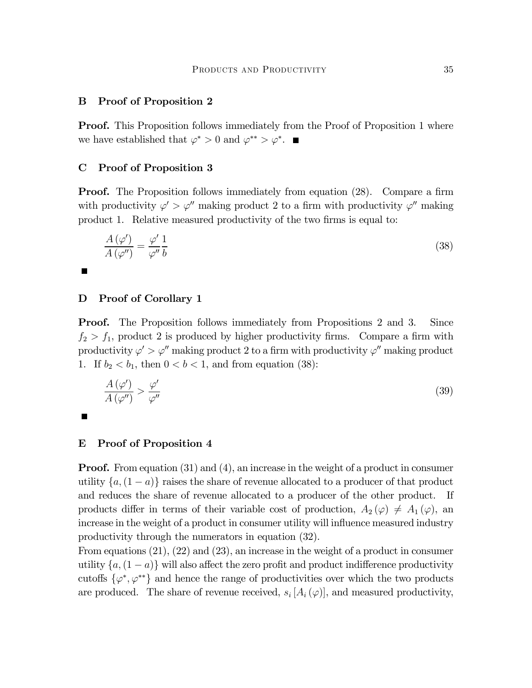#### B Proof of Proposition 2

Proof. This Proposition follows immediately from the Proof of Proposition 1 where we have established that  $\varphi^* > 0$  and  $\varphi^{**} > \varphi^*$ .

#### C Proof of Proposition 3

**Proof.** The Proposition follows immediately from equation (28). Compare a firm with productivity  $\varphi' > \varphi''$  making product 2 to a firm with productivity  $\varphi''$  making product 1. Relative measured productivity of the two firms is equal to:

$$
\frac{A\left(\varphi'\right)}{A\left(\varphi''\right)} = \frac{\varphi'}{\varphi''} \frac{1}{b} \tag{38}
$$

#### D Proof of Corollary 1

**Proof.** The Proposition follows immediately from Propositions 2 and 3. Since  $f_2 > f_1$ , product 2 is produced by higher productivity firms. Compare a firm with productivity  $\varphi' > \varphi''$  making product 2 to a firm with productivity  $\varphi''$  making product 1. If  $b_2 < b_1$ , then  $0 < b < 1$ , and from equation (38):

$$
\frac{A(\varphi')}{A(\varphi'')} > \frac{\varphi'}{\varphi''}
$$
\n(39)

#### E Proof of Proposition 4

**Proof.** From equation (31) and (4), an increase in the weight of a product in consumer utility  $\{a,(1-a)\}\)$  raises the share of revenue allocated to a producer of that product and reduces the share of revenue allocated to a producer of the other product. If products differ in terms of their variable cost of production,  $A_2(\varphi) \neq A_1(\varphi)$ , an increase in the weight of a product in consumer utility will influence measured industry productivity through the numerators in equation (32).

From equations (21), (22) and (23), an increase in the weight of a product in consumer utility  $\{a,(1-a)\}\$  will also affect the zero profit and product indifference productivity cutoffs  $\{\varphi^*, \varphi^{**}\}\$  and hence the range of productivities over which the two products are produced. The share of revenue received,  $s_i$  [ $A_i$  ( $\varphi$ )], and measured productivity,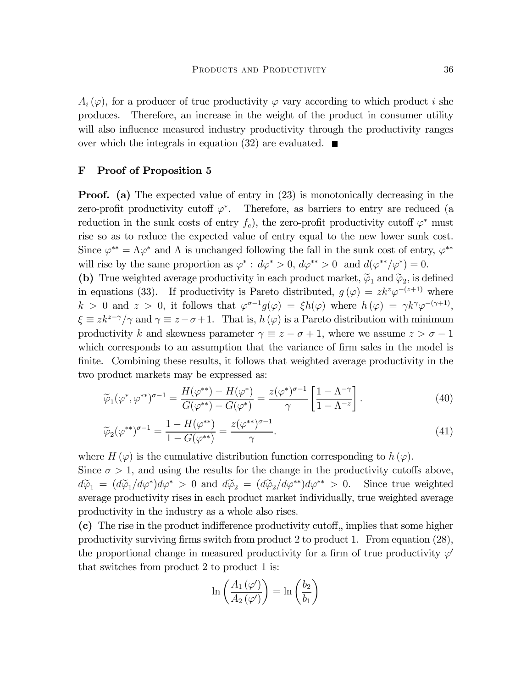$A_i(\varphi)$ , for a producer of true productivity  $\varphi$  vary according to which product i she produces. Therefore, an increase in the weight of the product in consumer utility will also influence measured industry productivity through the productivity ranges over which the integrals in equation (32) are evaluated.  $\blacksquare$ 

#### F Proof of Proposition 5

**Proof.** (a) The expected value of entry in (23) is monotonically decreasing in the zero-profit productivity cutoff  $\varphi^*$ . Therefore, as barriers to entry are reduced (a reduction in the sunk costs of entry  $f_e$ , the zero-profit productivity cutoff  $\varphi^*$  must rise so as to reduce the expected value of entry equal to the new lower sunk cost. Since  $\varphi^{**} = \Lambda \varphi^*$  and  $\Lambda$  is unchanged following the fall in the sunk cost of entry,  $\varphi^{**}$ will rise by the same proportion as  $\varphi^* : d\varphi^* > 0$ ,  $d\varphi^{**} > 0$  and  $d(\varphi^{**}/\varphi^*) = 0$ .

(b) True weighted average productivity in each product market,  $\tilde{\varphi}_1$  and  $\tilde{\varphi}_2$ , is defined in equations (33). If productivity is Pareto distributed,  $g(\varphi) = zk^z\varphi^{-(z+1)}$  where  $k > 0$  and  $z > 0$ , it follows that  $\varphi^{\sigma-1}g(\varphi) = \xi h(\varphi)$  where  $h(\varphi) = \gamma k^{\gamma} \varphi^{-(\gamma+1)}$ ,  $\xi \equiv zk^{z-\gamma}/\gamma$  and  $\gamma \equiv z-\sigma+1$ . That is,  $h(\varphi)$  is a Pareto distribution with minimum productivity k and skewness parameter  $\gamma \equiv z - \sigma + 1$ , where we assume  $z > \sigma - 1$ which corresponds to an assumption that the variance of firm sales in the model is finite. Combining these results, it follows that weighted average productivity in the two product markets may be expressed as:

$$
\widetilde{\varphi}_1(\varphi^*, \varphi^{**})^{\sigma - 1} = \frac{H(\varphi^{**}) - H(\varphi^*)}{G(\varphi^{**}) - G(\varphi^*)} = \frac{z(\varphi^*)^{\sigma - 1}}{\gamma} \left[ \frac{1 - \Lambda^{-\gamma}}{1 - \Lambda^{-z}} \right]. \tag{40}
$$

$$
\widetilde{\varphi}_2(\varphi^{**})^{\sigma-1} = \frac{1 - H(\varphi^{**})}{1 - G(\varphi^{**})} = \frac{z(\varphi^{**})^{\sigma-1}}{\gamma}.
$$
\n(41)

where H  $(\varphi)$  is the cumulative distribution function corresponding to  $h(\varphi)$ .

Since  $\sigma > 1$ , and using the results for the change in the productivity cutoffs above,  $d\widetilde{\varphi}_1 = (d\widetilde{\varphi}_1/d\varphi^*)d\varphi^* > 0$  and  $d\widetilde{\varphi}_2 = (d\widetilde{\varphi}_2/d\varphi^{**})d\varphi^{**} > 0$ . Since true weighted average productivity rises in each product market individually, true weighted average productivity in the industry as a whole also rises.

 $(c)$  The rise in the product indifference productivity cutoff, implies that some higher productivity surviving firms switch from product 2 to product 1. From equation (28), the proportional change in measured productivity for a firm of true productivity  $\varphi'$ that switches from product 2 to product 1 is:

$$
\ln\left(\frac{A_1(\varphi')}{A_2(\varphi')}\right) = \ln\left(\frac{b_2}{b_1}\right)
$$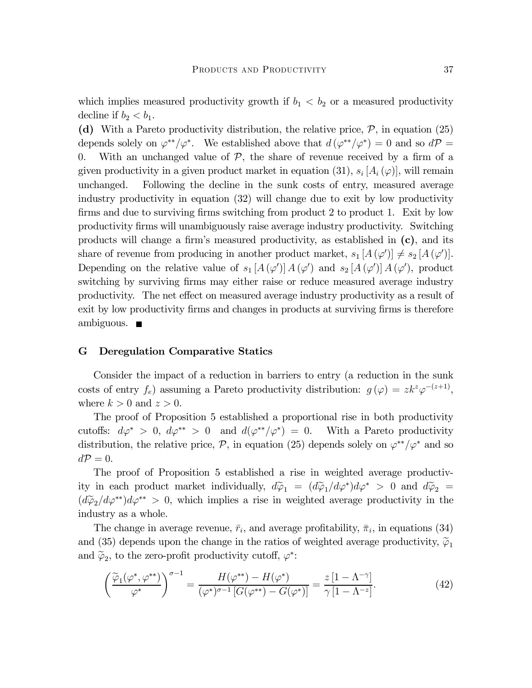which implies measured productivity growth if  $b_1 < b_2$  or a measured productivity decline if  $b_2 < b_1$ .

(d) With a Pareto productivity distribution, the relative price,  $P$ , in equation (25) depends solely on  $\varphi^{**}/\varphi^*$ . We established above that  $d(\varphi^{**}/\varphi^*)=0$  and so  $d\mathcal{P} =$ 0. With an unchanged value of  $P$ , the share of revenue received by a firm of a given productivity in a given product market in equation (31),  $s_i$  [ $A_i$  ( $\varphi$ )], will remain unchanged. Following the decline in the sunk costs of entry, measured average industry productivity in equation (32) will change due to exit by low productivity firms and due to surviving firms switching from product 2 to product 1. Exit by low productivity firms will unambiguously raise average industry productivity. Switching products will change a firm's measured productivity, as established in (c), and its share of revenue from producing in another product market,  $s_1$  [ $A(\varphi')$ ]  $\neq s_2$  [ $A(\varphi')$ ]. Depending on the relative value of  $s_1[A(\varphi')] A(\varphi')$  and  $s_2[A(\varphi')] A(\varphi')$ , product switching by surviving firms may either raise or reduce measured average industry productivity. The net effect on measured average industry productivity as a result of exit by low productivity firms and changes in products at surviving firms is therefore ambiguous.  $\blacksquare$ 

#### G Deregulation Comparative Statics

Consider the impact of a reduction in barriers to entry (a reduction in the sunk costs of entry  $f_e$ ) assuming a Pareto productivity distribution:  $g(\varphi) = zk^z \varphi^{-(z+1)}$ , where  $k > 0$  and  $z > 0$ .

The proof of Proposition 5 established a proportional rise in both productivity cutoffs:  $d\varphi^* > 0$ ,  $d\varphi^{**} > 0$  and  $d(\varphi^{**}/\varphi^*) = 0$ . With a Pareto productivity distribution, the relative price,  $\mathcal{P}$ , in equation (25) depends solely on  $\varphi^{**}/\varphi^*$  and so  $d\mathcal{P}=0.$ 

The proof of Proposition 5 established a rise in weighted average productivity in each product market individually,  $d\tilde{\varphi}_1 = (d\tilde{\varphi}_1/d\varphi^*)d\varphi^* > 0$  and  $d\tilde{\varphi}_2 =$  $(d\widetilde{\varphi}_2/d\varphi^{**})d\varphi^{**} > 0$ , which implies a rise in weighted average productivity in the industry as a whole.

The change in average revenue,  $\bar{r}_i$ , and average profitability,  $\bar{\pi}_i$ , in equations (34) and (35) depends upon the change in the ratios of weighted average productivity,  $\tilde{\varphi}_1$ and  $\tilde{\varphi}_2$ , to the zero-profit productivity cutoff,  $\varphi^*$ :

$$
\left(\frac{\widetilde{\varphi}_1(\varphi^*, \varphi^{**})}{\varphi^*}\right)^{\sigma-1} = \frac{H(\varphi^{**}) - H(\varphi^*)}{(\varphi^*)^{\sigma-1}\left[G(\varphi^{**}) - G(\varphi^*)\right]} = \frac{z\left[1 - \Lambda^{-\gamma}\right]}{\gamma\left[1 - \Lambda^{-z}\right]}.
$$
\n(42)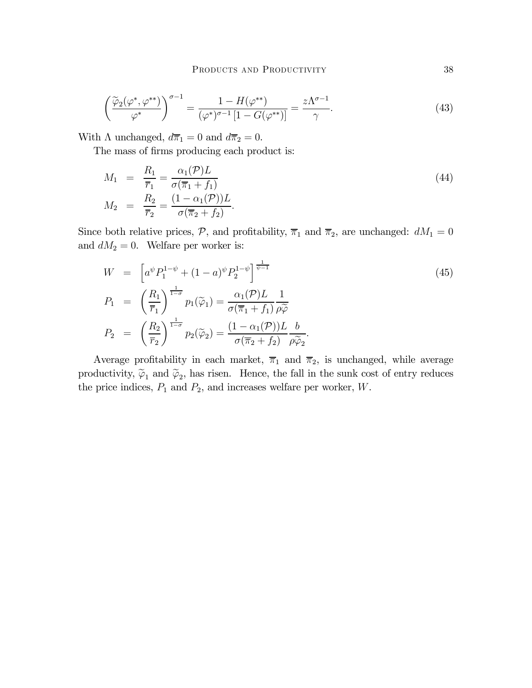$$
\left(\frac{\widetilde{\varphi}_2(\varphi^*, \varphi^{**})}{\varphi^*}\right)^{\sigma-1} = \frac{1 - H(\varphi^{**})}{(\varphi^*)^{\sigma-1} \left[1 - G(\varphi^{**})\right]} = \frac{z\Lambda^{\sigma-1}}{\gamma}.
$$
\n(43)

With  $\Lambda$  unchanged,  $d\overline{\pi}_1 = 0$  and  $d\overline{\pi}_2 = 0$ .

The mass of firms producing each product is:

$$
M_1 = \frac{R_1}{\overline{r}_1} = \frac{\alpha_1(\mathcal{P})L}{\sigma(\overline{\pi}_1 + f_1)}
$$
  
\n
$$
M_2 = \frac{R_2}{\overline{r}_2} = \frac{(1 - \alpha_1(\mathcal{P}))L}{\sigma(\overline{\pi}_2 + f_2)}.
$$
\n(44)

Since both relative prices,  $P$ , and profitability,  $\overline{\pi}_1$  and  $\overline{\pi}_2$ , are unchanged:  $dM_1 = 0$ and  $dM_2 = 0$ . Welfare per worker is:

$$
W = \left[a^{\psi} P_1^{1-\psi} + (1-a)^{\psi} P_2^{1-\psi}\right]^{\frac{1}{\psi-1}} \n P_1 = \left(\frac{R_1}{\overline{r}_1}\right)^{\frac{1}{1-\sigma}} p_1(\widetilde{\varphi}_1) = \frac{\alpha_1(\mathcal{P})L}{\sigma(\overline{\pi}_1 + f_1)} \frac{1}{\rho \widetilde{\varphi}} \n P_2 = \left(\frac{R_2}{\overline{r}_2}\right)^{\frac{1}{1-\sigma}} p_2(\widetilde{\varphi}_2) = \frac{(1-\alpha_1(\mathcal{P}))L}{\sigma(\overline{\pi}_2 + f_2)} \frac{b}{\rho \widetilde{\varphi}_2}.
$$
\n
$$
(45)
$$

Average profitability in each market,  $\overline{\pi}_1$  and  $\overline{\pi}_2$ , is unchanged, while average productivity,  $\tilde{\varphi}_1$  and  $\tilde{\varphi}_2$ , has risen. Hence, the fall in the sunk cost of entry reduces the price indices,  $P_1$  and  $P_2$ , and increases welfare per worker,  $W$ .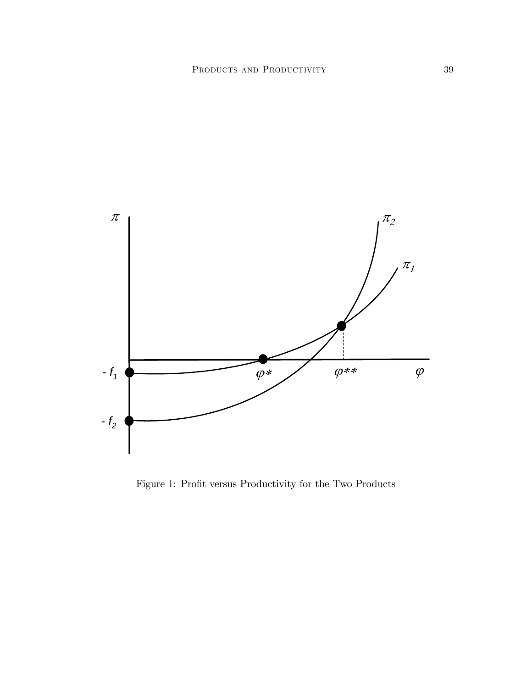

Figure 1: Profit versus Productivity for the Two Products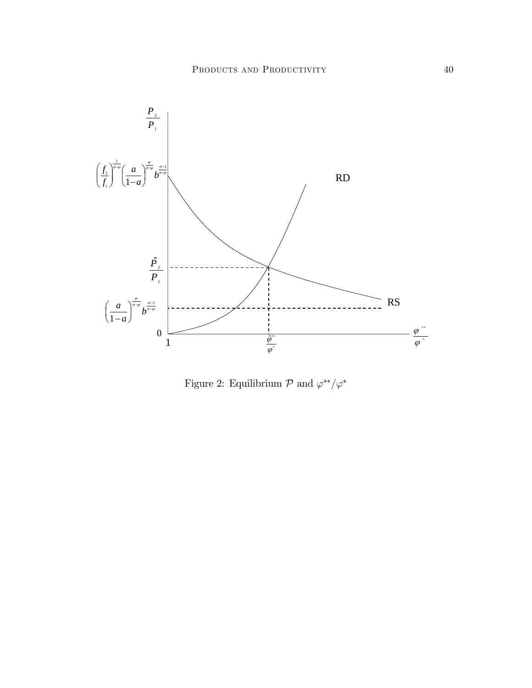

Figure 2: Equilibrium  $\mathcal P$  and  $\varphi^{**}/\varphi^*$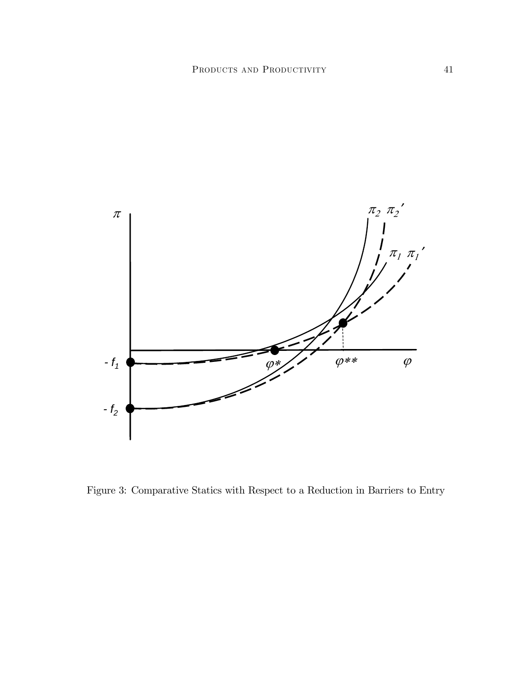

Figure 3: Comparative Statics with Respect to a Reduction in Barriers to Entry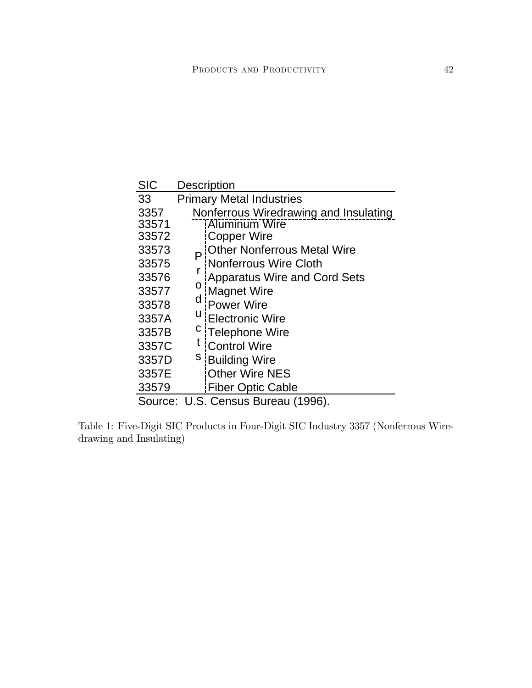| <b>SIC</b>                         |                                 | <b>Description</b>                    |  |
|------------------------------------|---------------------------------|---------------------------------------|--|
| 33                                 | <b>Primary Metal Industries</b> |                                       |  |
| 3357                               |                                 | Nonferrous Wiredrawing and Insulating |  |
| 33571                              |                                 | <b>Aluminum Wire</b>                  |  |
| 33572                              |                                 | <b>Copper Wire</b>                    |  |
| 33573                              |                                 | <b>Other Nonferrous Metal Wire</b>    |  |
| 33575                              |                                 | Nonferrous Wire Cloth                 |  |
| 33576                              |                                 | Apparatus Wire and Cord Sets          |  |
| 33577                              | O                               | Magnet Wire                           |  |
| 33578                              | d                               | Power Wire                            |  |
| 3357A                              | u                               | <b>Electronic Wire</b>                |  |
| 3357B                              | $\mathbf c$                     | Telephone Wire                        |  |
| 3357C                              | t                               | Control Wire                          |  |
| 3357D                              |                                 | <sup>S</sup> Building Wire            |  |
| 3357E                              |                                 | <b>Other Wire NES</b>                 |  |
| 33579                              |                                 | <b>Fiber Optic Cable</b>              |  |
| Source: U.S. Census Bureau (1996). |                                 |                                       |  |

Table 1: Five-Digit SIC Products in Four-Digit SIC Industry 3357 (Nonferrous Wiredrawing and Insulating)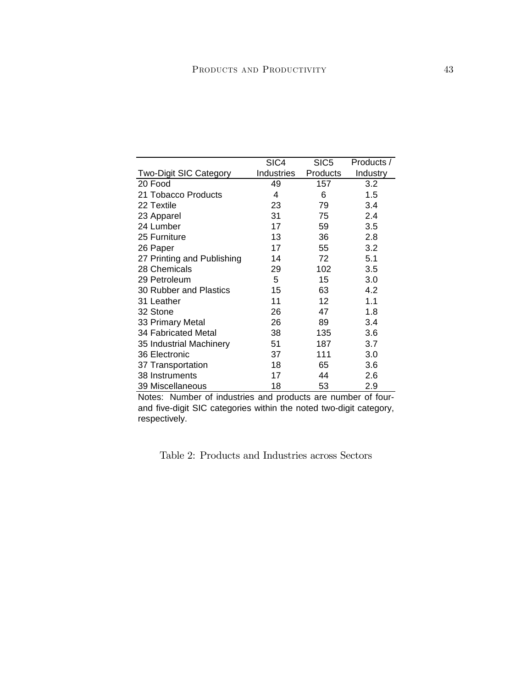|                               | SIC4       | SIC <sub>5</sub> | Products / |
|-------------------------------|------------|------------------|------------|
| <b>Two-Digit SIC Category</b> | Industries | Products         | Industry   |
| 20 Food                       | 49         | 157              | 3.2        |
| 21 Tobacco Products           | 4          | 6                | 1.5        |
| 22 Textile                    | 23         | 79               | 3.4        |
| 23 Apparel                    | 31         | 75               | 2.4        |
| 24 Lumber                     | 17         | 59               | 3.5        |
| 25 Furniture                  | 13         | 36               | 2.8        |
| 26 Paper                      | 17         | 55               | 3.2        |
| 27 Printing and Publishing    | 14         | 72               | 5.1        |
| 28 Chemicals                  | 29         | 102              | 3.5        |
| 29 Petroleum                  | 5          | 15               | 3.0        |
| 30 Rubber and Plastics        | 15         | 63               | 4.2        |
| 31 Leather                    | 11         | 12               | 1.1        |
| 32 Stone                      | 26         | 47               | 1.8        |
| 33 Primary Metal              | 26         | 89               | 3.4        |
| 34 Fabricated Metal           | 38         | 135              | 3.6        |
| 35 Industrial Machinery       | 51         | 187              | 3.7        |
| 36 Electronic                 | 37         | 111              | 3.0        |
| 37 Transportation             | 18         | 65               | 3.6        |
| 38 Instruments                | 17         | 44               | 2.6        |
| 39 Miscellaneous              | 18         | 53               | 2.9        |

Notes: Number of industries and products are number of fourand five-digit SIC categories within the noted two-digit category, respectively.

Table 2: Products and Industries across Sectors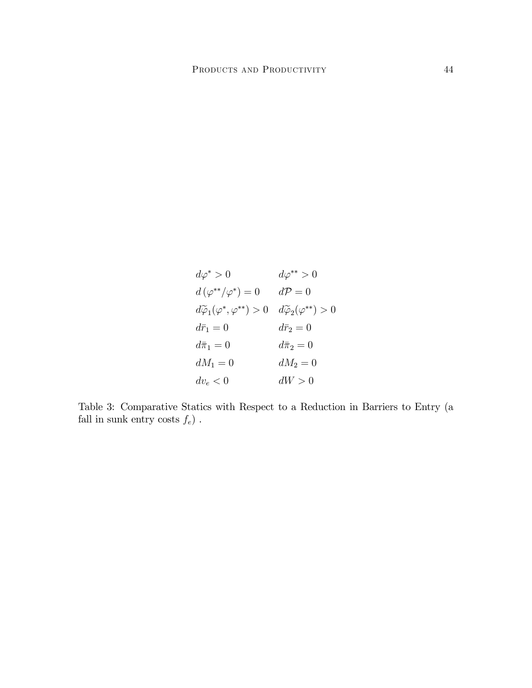$$
d\varphi^* > 0 \qquad d\varphi^{**} > 0
$$
  
\n
$$
d(\varphi^{**}/\varphi^*) = 0 \qquad d\mathcal{P} = 0
$$
  
\n
$$
d\widetilde{\varphi}_1(\varphi^*, \varphi^{**}) > 0 \qquad d\widetilde{\varphi}_2(\varphi^{**}) > 0
$$
  
\n
$$
d\overline{r}_1 = 0 \qquad d\overline{r}_2 = 0
$$
  
\n
$$
d\overline{n}_1 = 0 \qquad d\overline{n}_2 = 0
$$
  
\n
$$
dM_1 = 0 \qquad dM_2 = 0
$$
  
\n
$$
dv_e < 0 \qquad dW > 0
$$

Table 3: Comparative Statics with Respect to a Reduction in Barriers to Entry (a fall in sunk entry costs  $f_e)$  .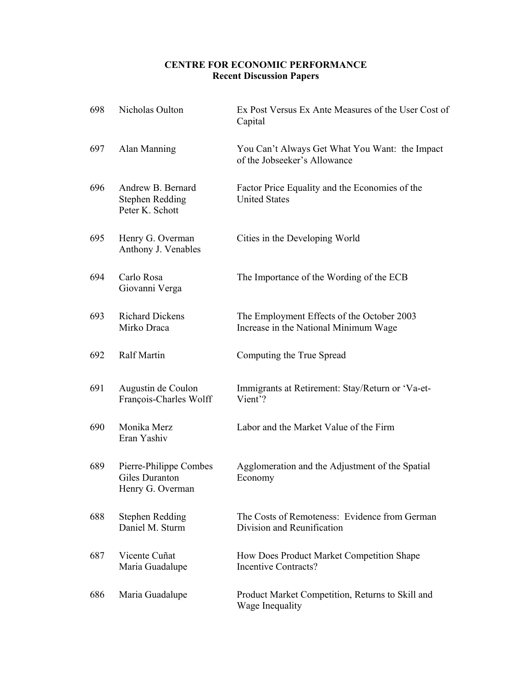### **CENTRE FOR ECONOMIC PERFORMANCE Recent Discussion Papers**

| 698 | Nicholas Oulton                                                | Ex Post Versus Ex Ante Measures of the User Cost of<br>Capital                      |
|-----|----------------------------------------------------------------|-------------------------------------------------------------------------------------|
| 697 | Alan Manning                                                   | You Can't Always Get What You Want: the Impact<br>of the Jobseeker's Allowance      |
| 696 | Andrew B. Bernard<br><b>Stephen Redding</b><br>Peter K. Schott | Factor Price Equality and the Economies of the<br><b>United States</b>              |
| 695 | Henry G. Overman<br>Anthony J. Venables                        | Cities in the Developing World                                                      |
| 694 | Carlo Rosa<br>Giovanni Verga                                   | The Importance of the Wording of the ECB                                            |
| 693 | <b>Richard Dickens</b><br>Mirko Draca                          | The Employment Effects of the October 2003<br>Increase in the National Minimum Wage |
| 692 | Ralf Martin                                                    | Computing the True Spread                                                           |
| 691 | Augustin de Coulon<br>François-Charles Wolff                   | Immigrants at Retirement: Stay/Return or 'Va-et-<br>Vient'?                         |
| 690 | Monika Merz<br>Eran Yashiv                                     | Labor and the Market Value of the Firm                                              |
| 689 | Pierre-Philippe Combes<br>Giles Duranton<br>Henry G. Overman   | Agglomeration and the Adjustment of the Spatial<br>Economy                          |
| 688 | Stephen Redding<br>Daniel M. Sturm                             | The Costs of Remoteness: Evidence from German<br>Division and Reunification         |
| 687 | Vicente Cuñat<br>Maria Guadalupe                               | How Does Product Market Competition Shape<br>Incentive Contracts?                   |
| 686 | Maria Guadalupe                                                | Product Market Competition, Returns to Skill and<br>Wage Inequality                 |